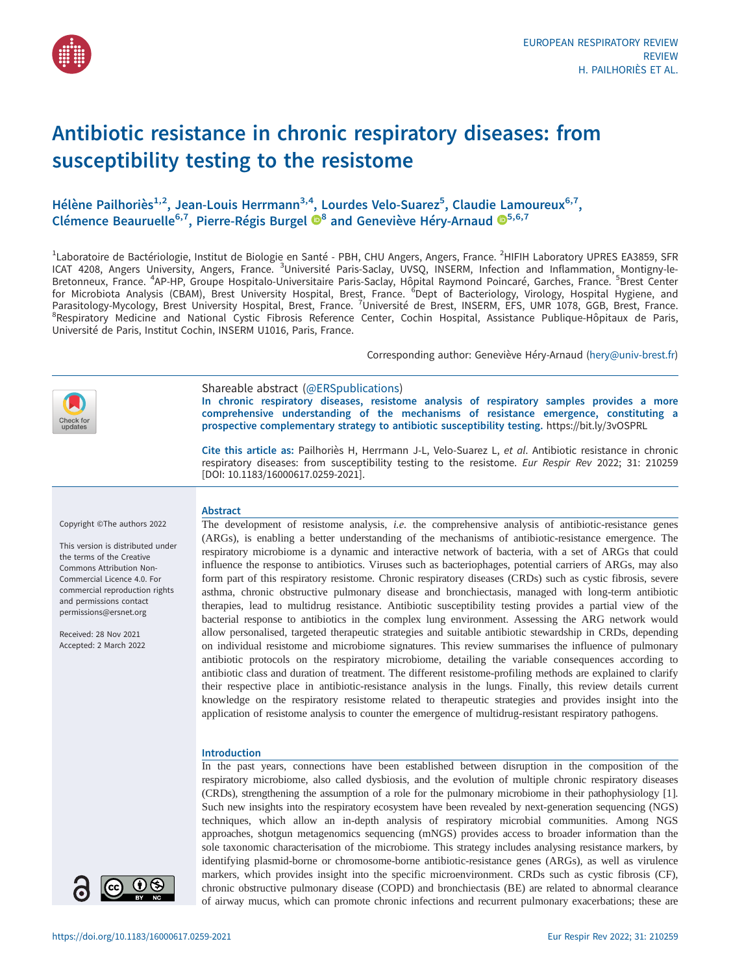

## Antibiotic resistance in chronic respiratory diseases: from susceptibility testing to the resistome

### Hélène Pailhoriès<sup>1,2</sup>, Jean-Louis Herrmann<sup>3,4</sup>, Lourdes Velo-Suarez<sup>5</sup>, Claudie Lamoureux<sup>6,7</sup>, Clémence Beauruelle<sup>6,7</sup>, Pierre-Régis Burgel  $\mathbf{D}^8$  $\mathbf{D}^8$  and Geneviève Héry-Arnaud  $\mathbf{D}^{5,6,7}$

<sup>1</sup>Laboratoire de Bactériologie, Institut de Biologie en Santé - PBH, CHU Angers, Angers, France. <sup>2</sup>HIFIH Laboratory UPRES EA3859, SFR ICAT 4208, Angers University, Angers, France. <sup>3</sup>Université Paris-Saclay, UVSQ, INSERM, Infection and Inflammation, Montigny-le-Bretonneux, France. <sup>4</sup>AP-HP, Groupe Hospitalo-Universitaire Paris-Saclay, Hôpital Raymond Poincaré, Garches, France. <sup>5</sup>Brest Center for Microbiota Analysis (CBAM), Brest University Hospital, Brest, France. <sup>6</sup>Dept of Bacteriology, Virology, Hospital Hygiene, and Parasitology-Mycology, Brest University Hospital, Brest, France. <sup>7</sup>Université de Brest, INSERM, EFS, UMR 1078, GGB, Brest, France.<br><sup>8</sup>Pespiratory Modicino and National Cystic Fibrosis, Poference Conter, Cochin Hospital, A <sup>8</sup>Respiratory Medicine and National Cystic Fibrosis Reference Center, Cochin Hospital, Assistance Publique-Hôpitaux de Paris, Université de Paris, Institut Cochin, INSERM U1016, Paris, France.

Corresponding author: Geneviève Héry-Arnaud ([hery@univ-brest.fr](mailto:hery@univ-brest.fr))



Shareable abstract (@ERSpublications) In chronic respiratory diseases, resistome analysis of respiratory samples provides a more comprehensive understanding of the mechanisms of resistance emergence, constituting a prospective complementary strategy to antibiotic susceptibility testing. <https://bit.ly/3vOSPRL>

Cite this article as: Pailhoriès H, Herrmann J-L, Velo-Suarez L, et al. Antibiotic resistance in chronic respiratory diseases: from susceptibility testing to the resistome. Eur Respir Rev 2022; 31: 210259 [\[DOI: 10.1183/16000617.0259-2021\].](https://doi.org/10.1183/16000617.0259-2021)

#### Copyright ©The authors 2022

This version is distributed under the terms of the Creative Commons Attribution Non-Commercial Licence 4.0. For commercial reproduction rights and permissions contact [permissions@ersnet.org](mailto:permissions@ersnet.org)

Received: 28 Nov 2021 Accepted: 2 March 2022



The development of resistome analysis, *i.e.* the comprehensive analysis of antibiotic-resistance genes (ARGs), is enabling a better understanding of the mechanisms of antibiotic-resistance emergence. The respiratory microbiome is a dynamic and interactive network of bacteria, with a set of ARGs that could influence the response to antibiotics. Viruses such as bacteriophages, potential carriers of ARGs, may also form part of this respiratory resistome. Chronic respiratory diseases (CRDs) such as cystic fibrosis, severe asthma, chronic obstructive pulmonary disease and bronchiectasis, managed with long-term antibiotic therapies, lead to multidrug resistance. Antibiotic susceptibility testing provides a partial view of the bacterial response to antibiotics in the complex lung environment. Assessing the ARG network would allow personalised, targeted therapeutic strategies and suitable antibiotic stewardship in CRDs, depending on individual resistome and microbiome signatures. This review summarises the influence of pulmonary antibiotic protocols on the respiratory microbiome, detailing the variable consequences according to antibiotic class and duration of treatment. The different resistome-profiling methods are explained to clarify their respective place in antibiotic-resistance analysis in the lungs. Finally, this review details current knowledge on the respiratory resistome related to therapeutic strategies and provides insight into the application of resistome analysis to counter the emergence of multidrug-resistant respiratory pathogens.

#### Introduction

In the past years, connections have been established between disruption in the composition of the respiratory microbiome, also called dysbiosis, and the evolution of multiple chronic respiratory diseases (CRDs), strengthening the assumption of a role for the pulmonary microbiome in their pathophysiology [\[1\]](#page-13-0). Such new insights into the respiratory ecosystem have been revealed by next-generation sequencing (NGS) techniques, which allow an in-depth analysis of respiratory microbial communities. Among NGS approaches, shotgun metagenomics sequencing (mNGS) provides access to broader information than the sole taxonomic characterisation of the microbiome. This strategy includes analysing resistance markers, by identifying plasmid-borne or chromosome-borne antibiotic-resistance genes (ARGs), as well as virulence markers, which provides insight into the specific microenvironment. CRDs such as cystic fibrosis (CF), chronic obstructive pulmonary disease (COPD) and bronchiectasis (BE) are related to abnormal clearance of airway mucus, which can promote chronic infections and recurrent pulmonary exacerbations; these are

 $\mathbf{\Theta}(i)$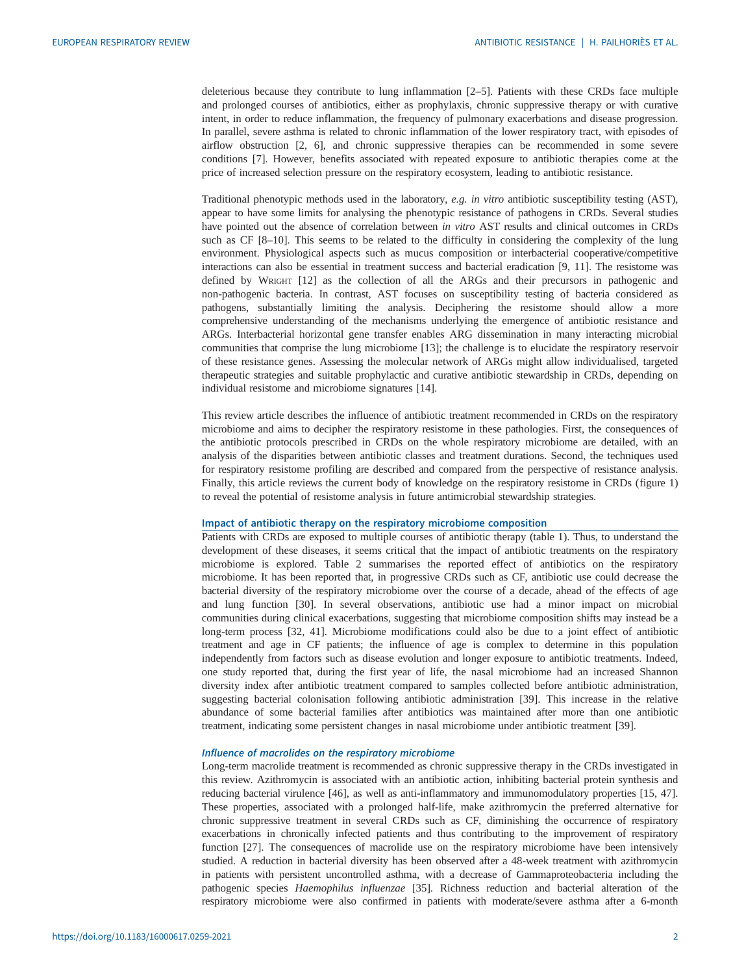deleterious because they contribute to lung inflammation [\[2](#page-13-0)–[5\]](#page-13-0). Patients with these CRDs face multiple and prolonged courses of antibiotics, either as prophylaxis, chronic suppressive therapy or with curative intent, in order to reduce inflammation, the frequency of pulmonary exacerbations and disease progression. In parallel, severe asthma is related to chronic inflammation of the lower respiratory tract, with episodes of airflow obstruction [[2](#page-13-0), [6\]](#page-13-0), and chronic suppressive therapies can be recommended in some severe conditions [[7](#page-13-0)]. However, benefits associated with repeated exposure to antibiotic therapies come at the price of increased selection pressure on the respiratory ecosystem, leading to antibiotic resistance.

Traditional phenotypic methods used in the laboratory, e.g. in vitro antibiotic susceptibility testing (AST), appear to have some limits for analysing the phenotypic resistance of pathogens in CRDs. Several studies have pointed out the absence of correlation between in vitro AST results and clinical outcomes in CRDs such as CF [\[8](#page-13-0)–[10](#page-13-0)]. This seems to be related to the difficulty in considering the complexity of the lung environment. Physiological aspects such as mucus composition or interbacterial cooperative/competitive interactions can also be essential in treatment success and bacterial eradication [\[9, 11](#page-13-0)]. The resistome was defined by WRIGHT [\[12](#page-13-0)] as the collection of all the ARGs and their precursors in pathogenic and non-pathogenic bacteria. In contrast, AST focuses on susceptibility testing of bacteria considered as pathogens, substantially limiting the analysis. Deciphering the resistome should allow a more comprehensive understanding of the mechanisms underlying the emergence of antibiotic resistance and ARGs. Interbacterial horizontal gene transfer enables ARG dissemination in many interacting microbial communities that comprise the lung microbiome [[13\]](#page-13-0); the challenge is to elucidate the respiratory reservoir of these resistance genes. Assessing the molecular network of ARGs might allow individualised, targeted therapeutic strategies and suitable prophylactic and curative antibiotic stewardship in CRDs, depending on individual resistome and microbiome signatures [\[14](#page-13-0)].

This review article describes the influence of antibiotic treatment recommended in CRDs on the respiratory microbiome and aims to decipher the respiratory resistome in these pathologies. First, the consequences of the antibiotic protocols prescribed in CRDs on the whole respiratory microbiome are detailed, with an analysis of the disparities between antibiotic classes and treatment durations. Second, the techniques used for respiratory resistome profiling are described and compared from the perspective of resistance analysis. Finally, this article reviews the current body of knowledge on the respiratory resistome in CRDs ([figure 1\)](#page-2-0) to reveal the potential of resistome analysis in future antimicrobial stewardship strategies.

#### Impact of antibiotic therapy on the respiratory microbiome composition

Patients with CRDs are exposed to multiple courses of antibiotic therapy ([table 1](#page-3-0)). Thus, to understand the development of these diseases, it seems critical that the impact of antibiotic treatments on the respiratory microbiome is explored. [Table 2](#page-4-0) summarises the reported effect of antibiotics on the respiratory microbiome. It has been reported that, in progressive CRDs such as CF, antibiotic use could decrease the bacterial diversity of the respiratory microbiome over the course of a decade, ahead of the effects of age and lung function [[30\]](#page-13-0). In several observations, antibiotic use had a minor impact on microbial communities during clinical exacerbations, suggesting that microbiome composition shifts may instead be a long-term process [\[32](#page-14-0), [41\]](#page-14-0). Microbiome modifications could also be due to a joint effect of antibiotic treatment and age in CF patients; the influence of age is complex to determine in this population independently from factors such as disease evolution and longer exposure to antibiotic treatments. Indeed, one study reported that, during the first year of life, the nasal microbiome had an increased Shannon diversity index after antibiotic treatment compared to samples collected before antibiotic administration, suggesting bacterial colonisation following antibiotic administration [\[39](#page-14-0)]. This increase in the relative abundance of some bacterial families after antibiotics was maintained after more than one antibiotic treatment, indicating some persistent changes in nasal microbiome under antibiotic treatment [\[39](#page-14-0)].

#### Influence of macrolides on the respiratory microbiome

Long-term macrolide treatment is recommended as chronic suppressive therapy in the CRDs investigated in this review. Azithromycin is associated with an antibiotic action, inhibiting bacterial protein synthesis and reducing bacterial virulence [[46\]](#page-14-0), as well as anti-inflammatory and immunomodulatory properties [\[15](#page-13-0), [47\]](#page-14-0). These properties, associated with a prolonged half-life, make azithromycin the preferred alternative for chronic suppressive treatment in several CRDs such as CF, diminishing the occurrence of respiratory exacerbations in chronically infected patients and thus contributing to the improvement of respiratory function [\[27](#page-13-0)]. The consequences of macrolide use on the respiratory microbiome have been intensively studied. A reduction in bacterial diversity has been observed after a 48-week treatment with azithromycin in patients with persistent uncontrolled asthma, with a decrease of Gammaproteobacteria including the pathogenic species Haemophilus influenzae [[35\]](#page-14-0). Richness reduction and bacterial alteration of the respiratory microbiome were also confirmed in patients with moderate/severe asthma after a 6-month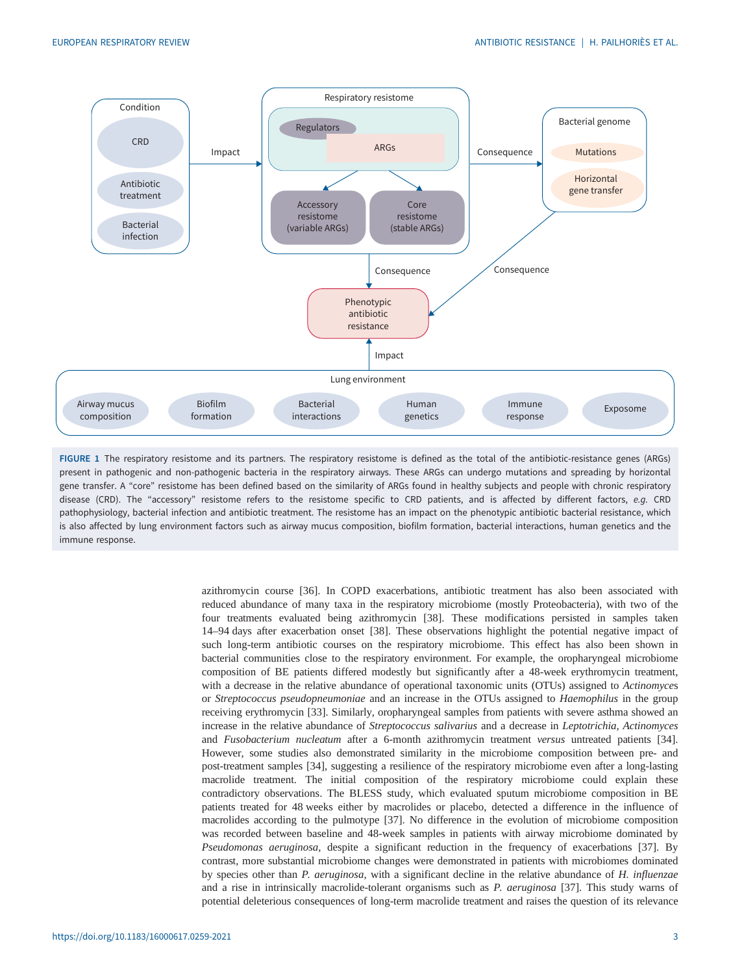<span id="page-2-0"></span>

FIGURE 1 The respiratory resistome and its partners. The respiratory resistome is defined as the total of the antibiotic-resistance genes (ARGs) present in pathogenic and non-pathogenic bacteria in the respiratory airways. These ARGs can undergo mutations and spreading by horizontal gene transfer. A "core" resistome has been defined based on the similarity of ARGs found in healthy subjects and people with chronic respiratory disease (CRD). The "accessory" resistome refers to the resistome specific to CRD patients, and is affected by different factors, e.g. CRD pathophysiology, bacterial infection and antibiotic treatment. The resistome has an impact on the phenotypic antibiotic bacterial resistance, which is also affected by lung environment factors such as airway mucus composition, biofilm formation, bacterial interactions, human genetics and the immune response.

azithromycin course [\[36](#page-14-0)]. In COPD exacerbations, antibiotic treatment has also been associated with reduced abundance of many taxa in the respiratory microbiome (mostly Proteobacteria), with two of the four treatments evaluated being azithromycin [\[38](#page-14-0)]. These modifications persisted in samples taken 14–94 days after exacerbation onset [\[38](#page-14-0)]. These observations highlight the potential negative impact of such long-term antibiotic courses on the respiratory microbiome. This effect has also been shown in bacterial communities close to the respiratory environment. For example, the oropharyngeal microbiome composition of BE patients differed modestly but significantly after a 48-week erythromycin treatment, with a decrease in the relative abundance of operational taxonomic units (OTUs) assigned to Actinomyces or Streptococcus pseudopneumoniae and an increase in the OTUs assigned to Haemophilus in the group receiving erythromycin [\[33](#page-14-0)]. Similarly, oropharyngeal samples from patients with severe asthma showed an increase in the relative abundance of Streptococcus salivarius and a decrease in Leptotrichia, Actinomyces and Fusobacterium nucleatum after a 6-month azithromycin treatment versus untreated patients [[34\]](#page-14-0). However, some studies also demonstrated similarity in the microbiome composition between pre- and post-treatment samples [[34\]](#page-14-0), suggesting a resilience of the respiratory microbiome even after a long-lasting macrolide treatment. The initial composition of the respiratory microbiome could explain these contradictory observations. The BLESS study, which evaluated sputum microbiome composition in BE patients treated for 48 weeks either by macrolides or placebo, detected a difference in the influence of macrolides according to the pulmotype [[37\]](#page-14-0). No difference in the evolution of microbiome composition was recorded between baseline and 48-week samples in patients with airway microbiome dominated by Pseudomonas aeruginosa, despite a significant reduction in the frequency of exacerbations [\[37](#page-14-0)]. By contrast, more substantial microbiome changes were demonstrated in patients with microbiomes dominated by species other than P. aeruginosa, with a significant decline in the relative abundance of H. influenzae and a rise in intrinsically macrolide-tolerant organisms such as P. aeruginosa [\[37](#page-14-0)]. This study warns of potential deleterious consequences of long-term macrolide treatment and raises the question of its relevance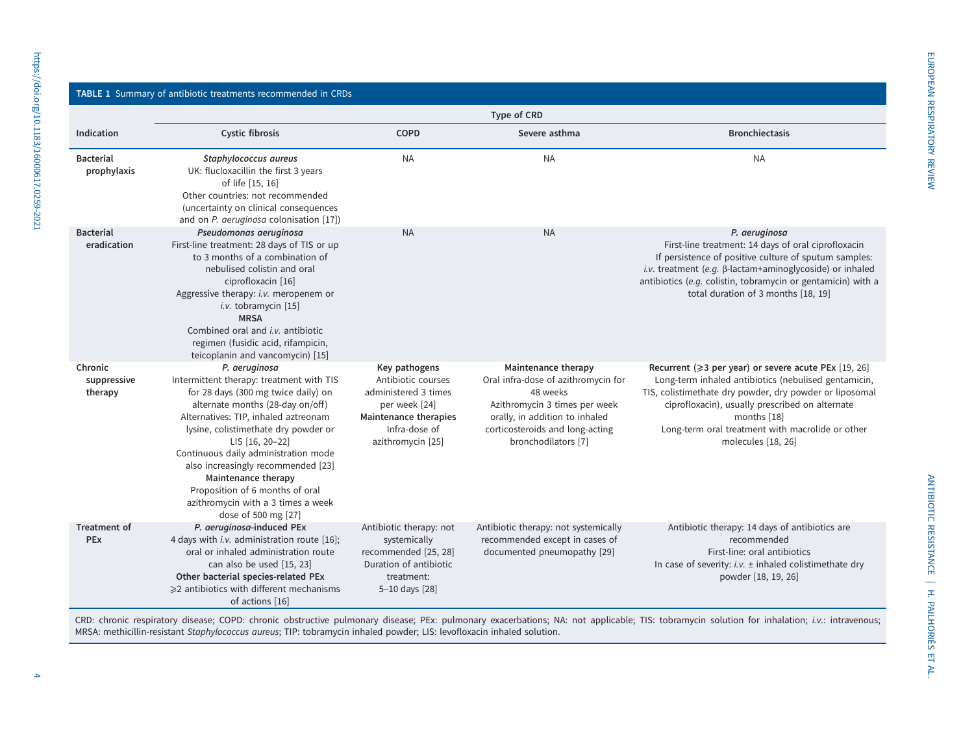# <span id="page-3-0"></span>https://doi.org/10.1183/16000617.0259-2021 https://doi.org/10.1183/16000617.0259-2021

#### TABLE 1 Summary of antibiotic treatments recommended in CRDs

|                                   | Type of CRD                                                                                                                                                                                                                                                                                                                                                                                                                                  |                                                                                                                                                    |                                                                                                                                                                                                     |                                                                                                                                                                                                                                                                                                                     |  |  |
|-----------------------------------|----------------------------------------------------------------------------------------------------------------------------------------------------------------------------------------------------------------------------------------------------------------------------------------------------------------------------------------------------------------------------------------------------------------------------------------------|----------------------------------------------------------------------------------------------------------------------------------------------------|-----------------------------------------------------------------------------------------------------------------------------------------------------------------------------------------------------|---------------------------------------------------------------------------------------------------------------------------------------------------------------------------------------------------------------------------------------------------------------------------------------------------------------------|--|--|
| Indication                        | Cystic fibrosis                                                                                                                                                                                                                                                                                                                                                                                                                              | <b>COPD</b>                                                                                                                                        | Severe asthma                                                                                                                                                                                       | <b>Bronchiectasis</b>                                                                                                                                                                                                                                                                                               |  |  |
| <b>Bacterial</b><br>prophylaxis   | Staphylococcus aureus<br>UK: flucloxacillin the first 3 years<br>of life [15, 16]<br>Other countries: not recommended<br>(uncertainty on clinical consequences<br>and on P. aeruginosa colonisation [17])                                                                                                                                                                                                                                    | <b>NA</b>                                                                                                                                          | <b>NA</b>                                                                                                                                                                                           | <b>NA</b>                                                                                                                                                                                                                                                                                                           |  |  |
| <b>Bacterial</b><br>eradication   | Pseudomonas aeruginosa<br>First-line treatment: 28 days of TIS or up<br>to 3 months of a combination of<br>nebulised colistin and oral<br>ciprofloxacin [16]<br>Aggressive therapy: i.v. meropenem or<br>i.v. tobramycin [15]<br><b>MRSA</b><br>Combined oral and <i>i.v.</i> antibiotic<br>regimen (fusidic acid, rifampicin,<br>teicoplanin and vancomycin) [15]                                                                           | <b>NA</b>                                                                                                                                          | <b>NA</b>                                                                                                                                                                                           | P. aeruginosa<br>First-line treatment: 14 days of oral ciprofloxacin<br>If persistence of positive culture of sputum samples:<br>i.v. treatment (e.g. B-lactam+aminoglycoside) or inhaled<br>antibiotics (e.g. colistin, tobramycin or gentamicin) with a<br>total duration of 3 months [18, 19]                    |  |  |
| Chronic<br>suppressive<br>therapy | P. aeruginosa<br>Intermittent therapy: treatment with TIS<br>for 28 days (300 mg twice daily) on<br>alternate months (28-day on/off)<br>Alternatives: TIP, inhaled aztreonam<br>lysine, colistimethate dry powder or<br>LIS [16, 20-22]<br>Continuous daily administration mode<br>also increasingly recommended [23]<br>Maintenance therapy<br>Proposition of 6 months of oral<br>azithromycin with a 3 times a week<br>dose of 500 mg [27] | Key pathogens<br>Antibiotic courses<br>administered 3 times<br>per week [24]<br><b>Maintenance therapies</b><br>Infra-dose of<br>azithromycin [25] | Maintenance therapy<br>Oral infra-dose of azithromycin for<br>48 weeks<br>Azithromycin 3 times per week<br>orally, in addition to inhaled<br>corticosteroids and long-acting<br>bronchodilators [7] | Recurrent (≥3 per year) or severe acute PEx [19, 26]<br>Long-term inhaled antibiotics (nebulised gentamicin,<br>TIS, colistimethate dry powder, dry powder or liposomal<br>ciprofloxacin), usually prescribed on alternate<br>months [18]<br>Long-term oral treatment with macrolide or other<br>molecules [18, 26] |  |  |
| <b>Treatment of</b><br>PEx        | P. aeruginosa-induced PEx<br>4 days with i.v. administration route [16];<br>oral or inhaled administration route<br>can also be used [15, 23]<br>Other bacterial species-related PEx<br>≥2 antibiotics with different mechanisms<br>of actions [16]                                                                                                                                                                                          | Antibiotic therapy: not<br>systemically<br>recommended [25, 28]<br>Duration of antibiotic<br>treatment:<br>5-10 days [28]                          | Antibiotic therapy: not systemically<br>recommended except in cases of<br>documented pneumopathy [29]                                                                                               | Antibiotic therapy: 14 days of antibiotics are<br>recommended<br>First-line: oral antibiotics<br>In case of severity: $i.v. \pm$ inhaled colistimethate dry<br>powder [18, 19, 26]                                                                                                                                  |  |  |

CRD: chronic respiratory disease; COPD: chronic obstructive pulmonary disease; PEx: pulmonary exacerbations; NA: not applicable; TIS: tobramycin solution for inhalation; i.v.: intravenous; MRSA: methicillin-resistant Staphylococcus aureus; TIP: tobramycin inhaled powder; LIS: levofloxacin inhaled solution.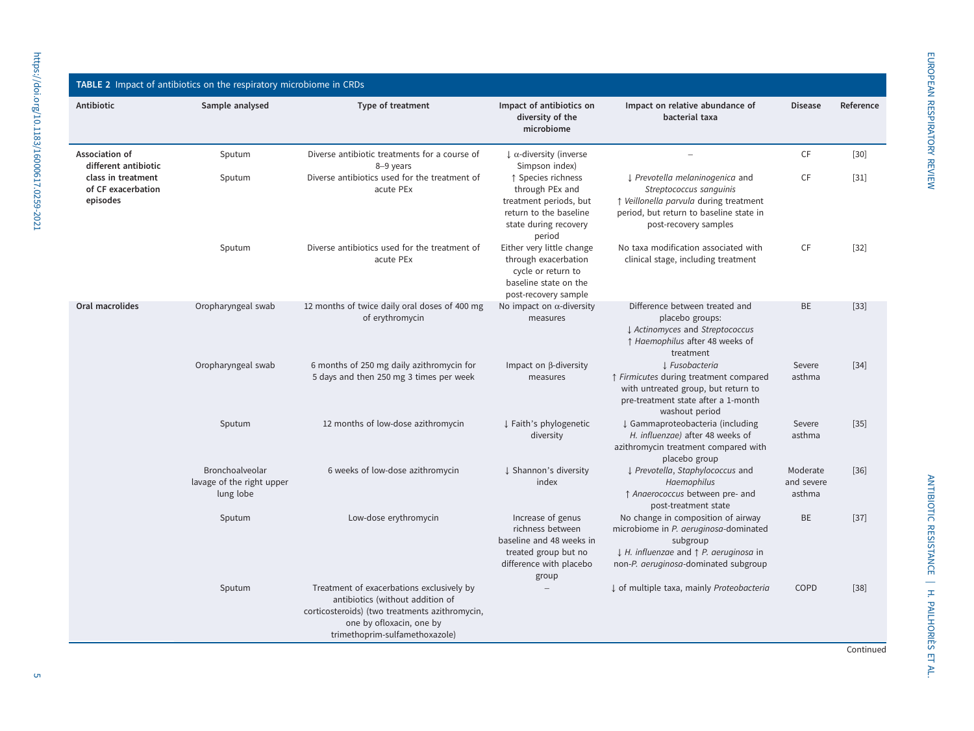<span id="page-4-0"></span>

| TABLE 2 Impact of antibiotics on the respiratory microbiome in CRDs |                                                           |                                                                                                                                                                                               |                                                                                                                               |                                                                                                                                                                                               |                                  |           |  |  |
|---------------------------------------------------------------------|-----------------------------------------------------------|-----------------------------------------------------------------------------------------------------------------------------------------------------------------------------------------------|-------------------------------------------------------------------------------------------------------------------------------|-----------------------------------------------------------------------------------------------------------------------------------------------------------------------------------------------|----------------------------------|-----------|--|--|
| Antibiotic                                                          | Sample analysed                                           | Type of treatment                                                                                                                                                                             | Impact of antibiotics on<br>diversity of the<br>microbiome                                                                    | Impact on relative abundance of<br>bacterial taxa                                                                                                                                             | <b>Disease</b>                   | Reference |  |  |
| Association of<br>different antibiotic                              | Sputum                                                    | Diverse antibiotic treatments for a course of<br>8-9 years                                                                                                                                    | $\downarrow$ $\alpha$ -diversity (inverse<br>Simpson index)                                                                   | $\overline{\phantom{0}}$                                                                                                                                                                      | CF                               | $[30]$    |  |  |
| class in treatment<br>of CF exacerbation<br>episodes                | Sputum                                                    | Diverse antibiotics used for the treatment of<br>acute PEx                                                                                                                                    | ↑ Species richness<br>through PEx and<br>treatment periods, but<br>return to the baseline<br>state during recovery<br>period  | ↓ Prevotella melaninogenica and<br>Streptococcus sanguinis<br>↑ Veillonella parvula during treatment<br>period, but return to baseline state in<br>post-recovery samples                      | CF                               | $[31]$    |  |  |
|                                                                     | Sputum                                                    | Diverse antibiotics used for the treatment of<br>acute PEx                                                                                                                                    | Either very little change<br>through exacerbation<br>cycle or return to<br>baseline state on the<br>post-recovery sample      | No taxa modification associated with<br>clinical stage, including treatment                                                                                                                   | CF                               | $[32]$    |  |  |
| Oral macrolides                                                     | Oropharyngeal swab                                        | 12 months of twice daily oral doses of 400 mg<br>of erythromycin                                                                                                                              | No impact on $\alpha$ -diversity<br>measures                                                                                  | Difference between treated and<br>placebo groups:<br>L Actinomyces and Streptococcus<br>↑ Haemophilus after 48 weeks of<br>treatment                                                          | <b>BE</b>                        | $[33]$    |  |  |
|                                                                     | Oropharyngeal swab                                        | 6 months of 250 mg daily azithromycin for<br>5 days and then 250 mg 3 times per week                                                                                                          | Impact on $\beta$ -diversity<br>measures                                                                                      | 1 Fusobacteria<br>↑ Firmicutes during treatment compared<br>with untreated group, but return to<br>pre-treatment state after a 1-month<br>washout period                                      | Severe<br>asthma                 | $[34]$    |  |  |
|                                                                     | Sputum                                                    | 12 months of low-dose azithromycin                                                                                                                                                            | ↓ Faith's phylogenetic<br>diversity                                                                                           | ↓ Gammaproteobacteria (including<br>H. influenzae) after 48 weeks of<br>azithromycin treatment compared with<br>placebo group                                                                 | Severe<br>asthma                 | $[35]$    |  |  |
|                                                                     | Bronchoalveolar<br>lavage of the right upper<br>lung lobe | 6 weeks of low-dose azithromycin                                                                                                                                                              | ↓ Shannon's diversity<br>index                                                                                                | ↓ Prevotella, Staphylococcus and<br>Haemophilus<br>↑ Anaerococcus between pre- and<br>post-treatment state                                                                                    | Moderate<br>and severe<br>asthma | $[36]$    |  |  |
|                                                                     | Sputum                                                    | Low-dose erythromycin                                                                                                                                                                         | Increase of genus<br>richness between<br>baseline and 48 weeks in<br>treated group but no<br>difference with placebo<br>group | No change in composition of airway<br>microbiome in P. aeruginosa-dominated<br>subgroup<br>$\downarrow$ H. influenzae and $\uparrow$ P. aeruginosa in<br>non-P. aeruginosa-dominated subgroup | BE                               | $[37]$    |  |  |
|                                                                     | Sputum                                                    | Treatment of exacerbations exclusively by<br>antibiotics (without addition of<br>corticosteroids) (two treatments azithromycin,<br>one by ofloxacin, one by<br>trimethoprim-sulfamethoxazole) |                                                                                                                               | ↓ of multiple taxa, mainly Proteobacteria                                                                                                                                                     | COPD                             | $[38]$    |  |  |

Continued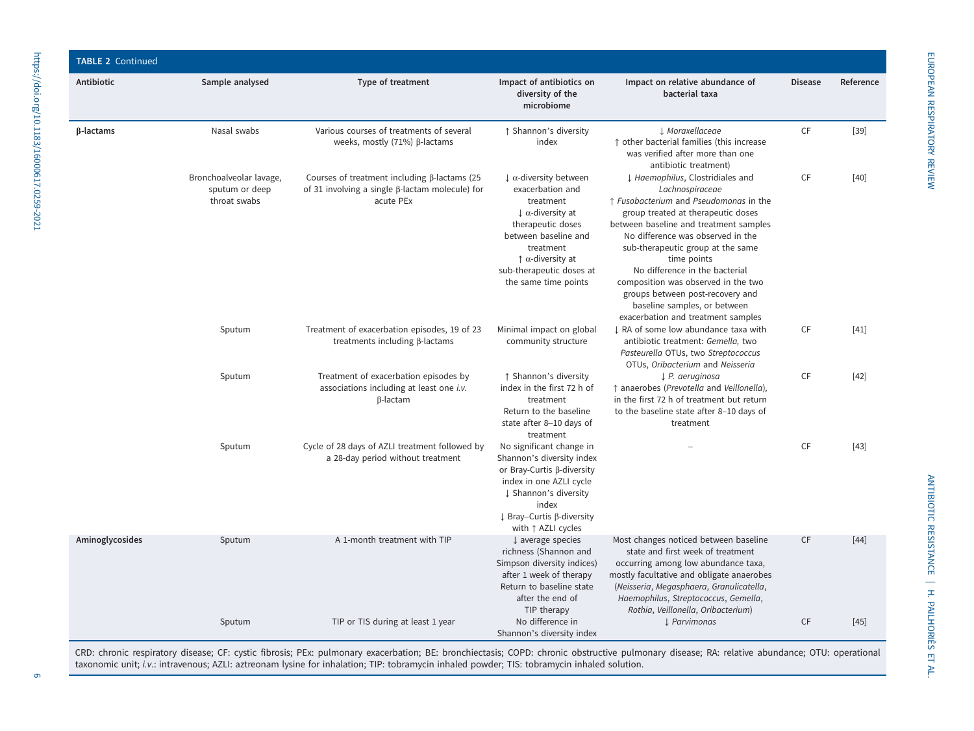| <b>TABLE 2 Continued</b> |                                                           |                                                                                                                            |                                                                                                                                                                                                                                                                   |                                                                                                                                                                                                                                                                                                                                                                                                                                                           |                |           |
|--------------------------|-----------------------------------------------------------|----------------------------------------------------------------------------------------------------------------------------|-------------------------------------------------------------------------------------------------------------------------------------------------------------------------------------------------------------------------------------------------------------------|-----------------------------------------------------------------------------------------------------------------------------------------------------------------------------------------------------------------------------------------------------------------------------------------------------------------------------------------------------------------------------------------------------------------------------------------------------------|----------------|-----------|
| Antibiotic               | Sample analysed                                           | Type of treatment                                                                                                          | Impact of antibiotics on<br>diversity of the<br>microbiome                                                                                                                                                                                                        | Impact on relative abundance of<br>bacterial taxa                                                                                                                                                                                                                                                                                                                                                                                                         | <b>Disease</b> | Reference |
| β-lactams                | Nasal swabs                                               | Various courses of treatments of several<br>weeks, mostly $(71%)$ $\beta$ -lactams                                         | ↑ Shannon's diversity<br>index                                                                                                                                                                                                                                    | J. Moraxellaceae<br>↑ other bacterial families (this increase<br>was verified after more than one<br>antibiotic treatment)                                                                                                                                                                                                                                                                                                                                | <b>CF</b>      | $[39]$    |
|                          | Bronchoalveolar lavage,<br>sputum or deep<br>throat swabs | Courses of treatment including $\beta$ -lactams (25<br>of 31 involving a single $\beta$ -lactam molecule) for<br>acute PEx | $\downarrow \alpha$ -diversity between<br>exacerbation and<br>treatment<br>$\downarrow$ $\alpha$ -diversity at<br>therapeutic doses<br>between baseline and<br>treatment<br>$\uparrow$ $\alpha$ -diversity at<br>sub-therapeutic doses at<br>the same time points | ↓ Haemophilus, Clostridiales and<br>Lachnospiraceae<br>↑ Fusobacterium and Pseudomonas in the<br>group treated at therapeutic doses<br>between baseline and treatment samples<br>No difference was observed in the<br>sub-therapeutic group at the same<br>time points<br>No difference in the bacterial<br>composition was observed in the two<br>groups between post-recovery and<br>baseline samples, or between<br>exacerbation and treatment samples | CF             | $[40]$    |
|                          | Sputum                                                    | Treatment of exacerbation episodes, 19 of 23<br>treatments including $\beta$ -lactams                                      | Minimal impact on global<br>community structure                                                                                                                                                                                                                   | I RA of some low abundance taxa with<br>antibiotic treatment: Gemella, two<br>Pasteurella OTUs, two Streptococcus<br>OTUs, Oribacterium and Neisseria                                                                                                                                                                                                                                                                                                     | CF             | $[41]$    |
|                          | Sputum                                                    | Treatment of exacerbation episodes by<br>associations including at least one i.v.<br>$\beta$ -lactam                       | ↑ Shannon's diversity<br>index in the first 72 h of<br>treatment<br>Return to the baseline<br>state after 8-10 days of<br>treatment                                                                                                                               | $\downarrow$ P. aeruginosa<br>↑ anaerobes (Prevotella and Veillonella),<br>in the first 72 h of treatment but return<br>to the baseline state after 8-10 days of<br>treatment                                                                                                                                                                                                                                                                             | <b>CF</b>      | $[42]$    |
|                          | Sputum                                                    | Cycle of 28 days of AZLI treatment followed by<br>a 28-day period without treatment                                        | No significant change in<br>Shannon's diversity index<br>or Bray-Curtis $\beta$ -diversity<br>index in one AZLI cycle<br>↓ Shannon's diversity<br>index<br>↓ Bray–Curtis ß-diversity<br>with $\uparrow$ AZLI cycles                                               |                                                                                                                                                                                                                                                                                                                                                                                                                                                           | <b>CF</b>      | $[43]$    |
| Aminoglycosides          | Sputum                                                    | A 1-month treatment with TIP                                                                                               | $\downarrow$ average species<br>richness (Shannon and<br>Simpson diversity indices)<br>after 1 week of therapy<br>Return to baseline state<br>after the end of<br>TIP therapy                                                                                     | Most changes noticed between baseline<br>state and first week of treatment<br>occurring among low abundance taxa,<br>mostly facultative and obligate anaerobes<br>(Neisseria, Megasphaera, Granulicatella,<br>Haemophilus, Streptococcus, Gemella,<br>Rothia, Veillonella, Oribacterium)                                                                                                                                                                  | <b>CF</b>      | $[44]$    |
|                          | Sputum                                                    | TIP or TIS during at least 1 year                                                                                          | No difference in<br>Shannon's diversity index                                                                                                                                                                                                                     | ↓ Parvimonas                                                                                                                                                                                                                                                                                                                                                                                                                                              | <b>CF</b>      | $[45]$    |

CRD: chronic respiratory disease; CF: cystic fibrosis; PEx: pulmonary exacerbation; BE: bronchiectasis; COPD: chronic obstructive pulmonary disease; RA: relative abundance; OTU: operational taxonomic unit; i.v.: intravenous; AZLI: aztreonam lysine for inhalation; TIP: tobramycin inhaled powder; TIS: tobramycin inhaled solution.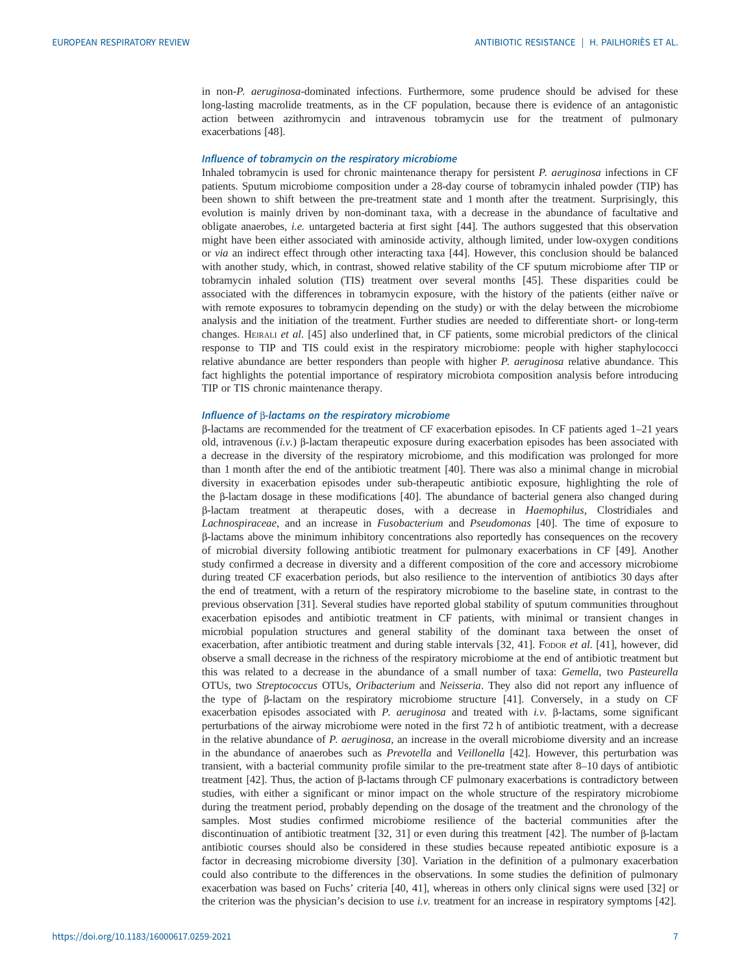in non-P. aeruginosa-dominated infections. Furthermore, some prudence should be advised for these long-lasting macrolide treatments, as in the CF population, because there is evidence of an antagonistic action between azithromycin and intravenous tobramycin use for the treatment of pulmonary exacerbations [\[48](#page-14-0)].

#### Influence of tobramycin on the respiratory microbiome

Inhaled tobramycin is used for chronic maintenance therapy for persistent  $P$ , *aeruginosa* infections in CF patients. Sputum microbiome composition under a 28-day course of tobramycin inhaled powder (TIP) has been shown to shift between the pre-treatment state and 1 month after the treatment. Surprisingly, this evolution is mainly driven by non-dominant taxa, with a decrease in the abundance of facultative and obligate anaerobes, i.e. untargeted bacteria at first sight [\[44](#page-14-0)]. The authors suggested that this observation might have been either associated with aminoside activity, although limited, under low-oxygen conditions or via an indirect effect through other interacting taxa [[44\]](#page-14-0). However, this conclusion should be balanced with another study, which, in contrast, showed relative stability of the CF sputum microbiome after TIP or tobramycin inhaled solution (TIS) treatment over several months [[45\]](#page-14-0). These disparities could be associated with the differences in tobramycin exposure, with the history of the patients (either naïve or with remote exposures to tobramycin depending on the study) or with the delay between the microbiome analysis and the initiation of the treatment. Further studies are needed to differentiate short- or long-term changes. HEIRALI et al. [[45\]](#page-14-0) also underlined that, in CF patients, some microbial predictors of the clinical response to TIP and TIS could exist in the respiratory microbiome: people with higher staphylococci relative abundance are better responders than people with higher P. aeruginosa relative abundance. This fact highlights the potential importance of respiratory microbiota composition analysis before introducing TIP or TIS chronic maintenance therapy.

#### Influence of β-lactams on the respiratory microbiome

β-lactams are recommended for the treatment of CF exacerbation episodes. In CF patients aged 1–21 years old, intravenous (i.v.) β-lactam therapeutic exposure during exacerbation episodes has been associated with a decrease in the diversity of the respiratory microbiome, and this modification was prolonged for more than 1 month after the end of the antibiotic treatment [[40\]](#page-14-0). There was also a minimal change in microbial diversity in exacerbation episodes under sub-therapeutic antibiotic exposure, highlighting the role of the β-lactam dosage in these modifications [\[40](#page-14-0)]. The abundance of bacterial genera also changed during β-lactam treatment at therapeutic doses, with a decrease in Haemophilus, Clostridiales and Lachnospiraceae, and an increase in Fusobacterium and Pseudomonas [\[40](#page-14-0)]. The time of exposure to β-lactams above the minimum inhibitory concentrations also reportedly has consequences on the recovery of microbial diversity following antibiotic treatment for pulmonary exacerbations in CF [[49\]](#page-14-0). Another study confirmed a decrease in diversity and a different composition of the core and accessory microbiome during treated CF exacerbation periods, but also resilience to the intervention of antibiotics 30 days after the end of treatment, with a return of the respiratory microbiome to the baseline state, in contrast to the previous observation [[31\]](#page-14-0). Several studies have reported global stability of sputum communities throughout exacerbation episodes and antibiotic treatment in CF patients, with minimal or transient changes in microbial population structures and general stability of the dominant taxa between the onset of exacerbation, after antibiotic treatment and during stable intervals [[32, 41](#page-14-0)]. Fopor et al. [[41\]](#page-14-0), however, did observe a small decrease in the richness of the respiratory microbiome at the end of antibiotic treatment but this was related to a decrease in the abundance of a small number of taxa: Gemella, two Pasteurella OTUs, two Streptococcus OTUs, Oribacterium and Neisseria. They also did not report any influence of the type of β-lactam on the respiratory microbiome structure [\[41](#page-14-0)]. Conversely, in a study on CF exacerbation episodes associated with P. aeruginosa and treated with i.v. β-lactams, some significant perturbations of the airway microbiome were noted in the first 72 h of antibiotic treatment, with a decrease in the relative abundance of P. aeruginosa, an increase in the overall microbiome diversity and an increase in the abundance of anaerobes such as Prevotella and Veillonella [\[42](#page-14-0)]. However, this perturbation was transient, with a bacterial community profile similar to the pre-treatment state after 8–10 days of antibiotic treatment [[42\]](#page-14-0). Thus, the action of β-lactams through CF pulmonary exacerbations is contradictory between studies, with either a significant or minor impact on the whole structure of the respiratory microbiome during the treatment period, probably depending on the dosage of the treatment and the chronology of the samples. Most studies confirmed microbiome resilience of the bacterial communities after the discontinuation of antibiotic treatment [\[32](#page-14-0), [31](#page-14-0)] or even during this treatment [[42](#page-14-0)]. The number of β-lactam antibiotic courses should also be considered in these studies because repeated antibiotic exposure is a factor in decreasing microbiome diversity [\[30](#page-13-0)]. Variation in the definition of a pulmonary exacerbation could also contribute to the differences in the observations. In some studies the definition of pulmonary exacerbation was based on Fuchs' criteria [[40, 41\]](#page-14-0), whereas in others only clinical signs were used [[32](#page-14-0)] or the criterion was the physician's decision to use *i.v.* treatment for an increase in respiratory symptoms  $[42]$  $[42]$ .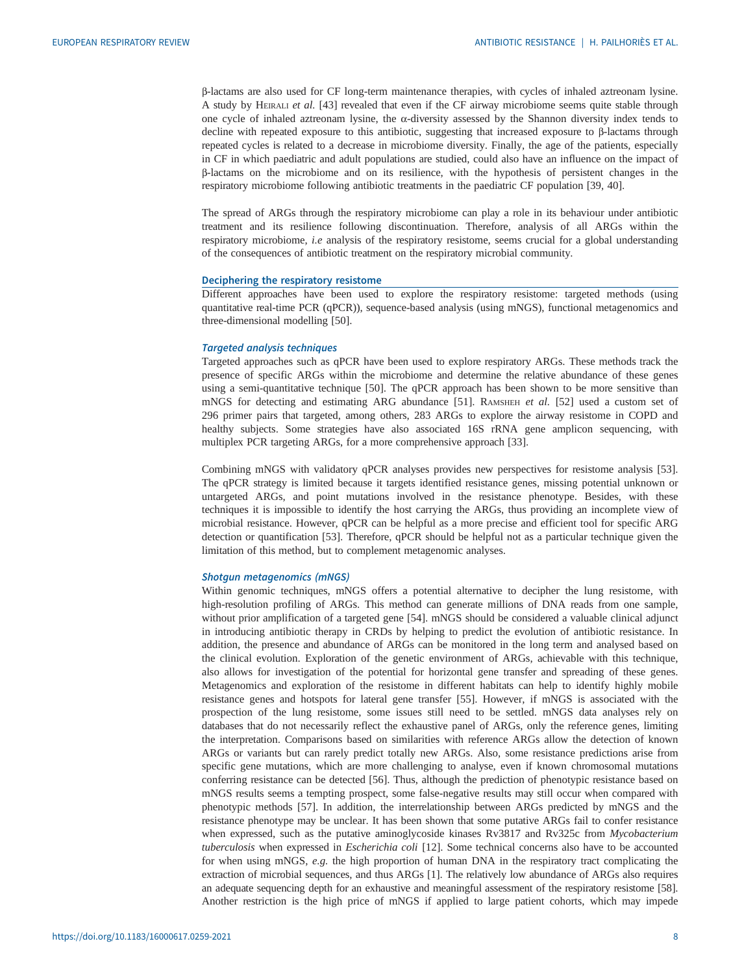β-lactams are also used for CF long-term maintenance therapies, with cycles of inhaled aztreonam lysine. A study by HEIRALI et al. [\[43](#page-14-0)] revealed that even if the CF airway microbiome seems quite stable through one cycle of inhaled aztreonam lysine, the α-diversity assessed by the Shannon diversity index tends to decline with repeated exposure to this antibiotic, suggesting that increased exposure to β-lactams through repeated cycles is related to a decrease in microbiome diversity. Finally, the age of the patients, especially in CF in which paediatric and adult populations are studied, could also have an influence on the impact of β-lactams on the microbiome and on its resilience, with the hypothesis of persistent changes in the respiratory microbiome following antibiotic treatments in the paediatric CF population [\[39](#page-14-0), [40](#page-14-0)].

The spread of ARGs through the respiratory microbiome can play a role in its behaviour under antibiotic treatment and its resilience following discontinuation. Therefore, analysis of all ARGs within the respiratory microbiome, *i.e* analysis of the respiratory resistome, seems crucial for a global understanding of the consequences of antibiotic treatment on the respiratory microbial community.

#### Deciphering the respiratory resistome

Different approaches have been used to explore the respiratory resistome: targeted methods (using quantitative real-time PCR (qPCR)), sequence-based analysis (using mNGS), functional metagenomics and three-dimensional modelling [[50\]](#page-14-0).

#### Targeted analysis techniques

Targeted approaches such as qPCR have been used to explore respiratory ARGs. These methods track the presence of specific ARGs within the microbiome and determine the relative abundance of these genes using a semi-quantitative technique [[50\]](#page-14-0). The qPCR approach has been shown to be more sensitive than mNGS for detecting and estimating ARG abundance [[51\]](#page-14-0). RAMSHEH et al. [[52\]](#page-14-0) used a custom set of 296 primer pairs that targeted, among others, 283 ARGs to explore the airway resistome in COPD and healthy subjects. Some strategies have also associated 16S rRNA gene amplicon sequencing, with multiplex PCR targeting ARGs, for a more comprehensive approach [[33\]](#page-14-0).

Combining mNGS with validatory qPCR analyses provides new perspectives for resistome analysis [[53\]](#page-14-0). The qPCR strategy is limited because it targets identified resistance genes, missing potential unknown or untargeted ARGs, and point mutations involved in the resistance phenotype. Besides, with these techniques it is impossible to identify the host carrying the ARGs, thus providing an incomplete view of microbial resistance. However, qPCR can be helpful as a more precise and efficient tool for specific ARG detection or quantification [\[53](#page-14-0)]. Therefore, qPCR should be helpful not as a particular technique given the limitation of this method, but to complement metagenomic analyses.

#### Shotgun metagenomics (mNGS)

Within genomic techniques, mNGS offers a potential alternative to decipher the lung resistome, with high-resolution profiling of ARGs. This method can generate millions of DNA reads from one sample, without prior amplification of a targeted gene [[54\]](#page-14-0). mNGS should be considered a valuable clinical adjunct in introducing antibiotic therapy in CRDs by helping to predict the evolution of antibiotic resistance. In addition, the presence and abundance of ARGs can be monitored in the long term and analysed based on the clinical evolution. Exploration of the genetic environment of ARGs, achievable with this technique, also allows for investigation of the potential for horizontal gene transfer and spreading of these genes. Metagenomics and exploration of the resistome in different habitats can help to identify highly mobile resistance genes and hotspots for lateral gene transfer [\[55](#page-14-0)]. However, if mNGS is associated with the prospection of the lung resistome, some issues still need to be settled. mNGS data analyses rely on databases that do not necessarily reflect the exhaustive panel of ARGs, only the reference genes, limiting the interpretation. Comparisons based on similarities with reference ARGs allow the detection of known ARGs or variants but can rarely predict totally new ARGs. Also, some resistance predictions arise from specific gene mutations, which are more challenging to analyse, even if known chromosomal mutations conferring resistance can be detected [[56\]](#page-14-0). Thus, although the prediction of phenotypic resistance based on mNGS results seems a tempting prospect, some false-negative results may still occur when compared with phenotypic methods [\[57](#page-14-0)]. In addition, the interrelationship between ARGs predicted by mNGS and the resistance phenotype may be unclear. It has been shown that some putative ARGs fail to confer resistance when expressed, such as the putative aminoglycoside kinases Rv3817 and Rv325c from Mycobacterium tuberculosis when expressed in *Escherichia coli* [\[12](#page-13-0)]. Some technical concerns also have to be accounted for when using mNGS, e.g. the high proportion of human DNA in the respiratory tract complicating the extraction of microbial sequences, and thus ARGs [\[1\]](#page-13-0). The relatively low abundance of ARGs also requires an adequate sequencing depth for an exhaustive and meaningful assessment of the respiratory resistome [[58\]](#page-14-0). Another restriction is the high price of mNGS if applied to large patient cohorts, which may impede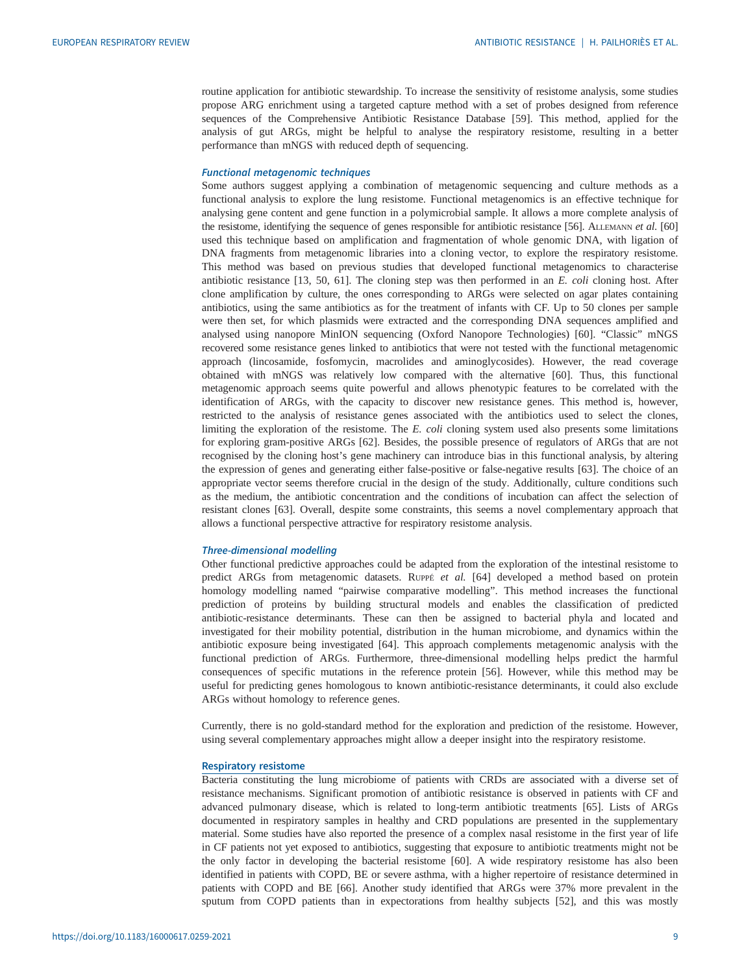routine application for antibiotic stewardship. To increase the sensitivity of resistome analysis, some studies propose ARG enrichment using a targeted capture method with a set of probes designed from reference sequences of the Comprehensive Antibiotic Resistance Database [\[59](#page-14-0)]. This method, applied for the analysis of gut ARGs, might be helpful to analyse the respiratory resistome, resulting in a better performance than mNGS with reduced depth of sequencing.

#### Functional metagenomic techniques

Some authors suggest applying a combination of metagenomic sequencing and culture methods as a functional analysis to explore the lung resistome. Functional metagenomics is an effective technique for analysing gene content and gene function in a polymicrobial sample. It allows a more complete analysis of the resistome, identifying the sequence of genes responsible for antibiotic resistance [\[56\]](#page-14-0). ALLEMANN et al. [\[60\]](#page-15-0) used this technique based on amplification and fragmentation of whole genomic DNA, with ligation of DNA fragments from metagenomic libraries into a cloning vector, to explore the respiratory resistome. This method was based on previous studies that developed functional metagenomics to characterise antibiotic resistance [[13,](#page-13-0) [50,](#page-14-0) [61](#page-15-0)]. The cloning step was then performed in an E. coli cloning host. After clone amplification by culture, the ones corresponding to ARGs were selected on agar plates containing antibiotics, using the same antibiotics as for the treatment of infants with CF. Up to 50 clones per sample were then set, for which plasmids were extracted and the corresponding DNA sequences amplified and analysed using nanopore MinION sequencing (Oxford Nanopore Technologies) [\[60](#page-15-0)]. "Classic" mNGS recovered some resistance genes linked to antibiotics that were not tested with the functional metagenomic approach (lincosamide, fosfomycin, macrolides and aminoglycosides). However, the read coverage obtained with mNGS was relatively low compared with the alternative [[60\]](#page-15-0). Thus, this functional metagenomic approach seems quite powerful and allows phenotypic features to be correlated with the identification of ARGs, with the capacity to discover new resistance genes. This method is, however, restricted to the analysis of resistance genes associated with the antibiotics used to select the clones, limiting the exploration of the resistome. The  $E$ . coli cloning system used also presents some limitations for exploring gram-positive ARGs [[62\]](#page-15-0). Besides, the possible presence of regulators of ARGs that are not recognised by the cloning host's gene machinery can introduce bias in this functional analysis, by altering the expression of genes and generating either false-positive or false-negative results [[63\]](#page-15-0). The choice of an appropriate vector seems therefore crucial in the design of the study. Additionally, culture conditions such as the medium, the antibiotic concentration and the conditions of incubation can affect the selection of resistant clones [[63\]](#page-15-0). Overall, despite some constraints, this seems a novel complementary approach that allows a functional perspective attractive for respiratory resistome analysis.

#### Three-dimensional modelling

Other functional predictive approaches could be adapted from the exploration of the intestinal resistome to predict ARGs from metagenomic datasets. RUPPÉ et al. [[64](#page-15-0)] developed a method based on protein homology modelling named "pairwise comparative modelling". This method increases the functional prediction of proteins by building structural models and enables the classification of predicted antibiotic-resistance determinants. These can then be assigned to bacterial phyla and located and investigated for their mobility potential, distribution in the human microbiome, and dynamics within the antibiotic exposure being investigated [\[64](#page-15-0)]. This approach complements metagenomic analysis with the functional prediction of ARGs. Furthermore, three-dimensional modelling helps predict the harmful consequences of specific mutations in the reference protein [[56\]](#page-14-0). However, while this method may be useful for predicting genes homologous to known antibiotic-resistance determinants, it could also exclude ARGs without homology to reference genes.

Currently, there is no gold-standard method for the exploration and prediction of the resistome. However, using several complementary approaches might allow a deeper insight into the respiratory resistome.

#### Respiratory resistome

Bacteria constituting the lung microbiome of patients with CRDs are associated with a diverse set of resistance mechanisms. Significant promotion of antibiotic resistance is observed in patients with CF and advanced pulmonary disease, which is related to long-term antibiotic treatments [[65\]](#page-15-0). Lists of ARGs documented in respiratory samples in healthy and CRD populations are presented in the [supplementary](http://err.ersjournals.com/lookup/doi/10.1183/16000617.0259-2021.figures-only#fig-data-supplementary-materials) [material](http://err.ersjournals.com/lookup/doi/10.1183/16000617.0259-2021.figures-only#fig-data-supplementary-materials). Some studies have also reported the presence of a complex nasal resistome in the first year of life in CF patients not yet exposed to antibiotics, suggesting that exposure to antibiotic treatments might not be the only factor in developing the bacterial resistome [\[60](#page-15-0)]. A wide respiratory resistome has also been identified in patients with COPD, BE or severe asthma, with a higher repertoire of resistance determined in patients with COPD and BE [\[66](#page-15-0)]. Another study identified that ARGs were 37% more prevalent in the sputum from COPD patients than in expectorations from healthy subjects [[52\]](#page-14-0), and this was mostly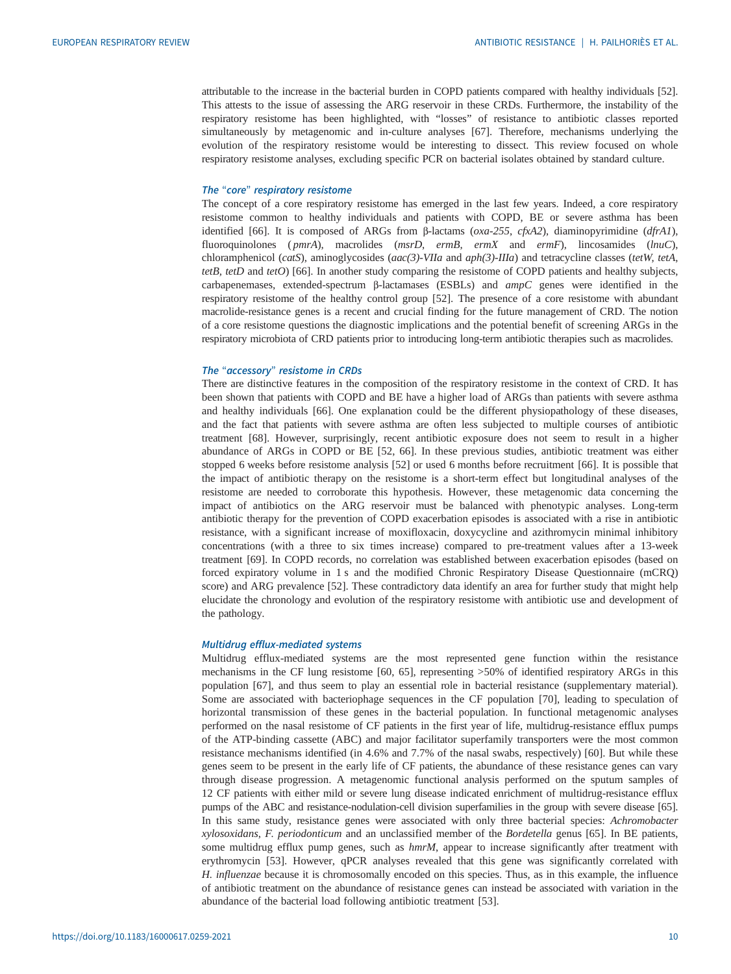attributable to the increase in the bacterial burden in COPD patients compared with healthy individuals [[52\]](#page-14-0). This attests to the issue of assessing the ARG reservoir in these CRDs. Furthermore, the instability of the respiratory resistome has been highlighted, with "losses" of resistance to antibiotic classes reported simultaneously by metagenomic and in-culture analyses [\[67](#page-15-0)]. Therefore, mechanisms underlying the evolution of the respiratory resistome would be interesting to dissect. This review focused on whole respiratory resistome analyses, excluding specific PCR on bacterial isolates obtained by standard culture.

#### The "core" respiratory resistome

The concept of a core respiratory resistome has emerged in the last few years. Indeed, a core respiratory resistome common to healthy individuals and patients with COPD, BE or severe asthma has been identified [[66\]](#page-15-0). It is composed of ARGs from β-lactams ( $oxa$ -255,  $c$ fxA2), diaminopyrimidine (dfrA1), fluoroquinolones (pmrA), macrolides (msrD, ermB, ermX and ermF), lincosamides (lnuC), chloramphenicol (catS), aminoglycosides (aac(3)-VIIa and aph(3)-IIIa) and tetracycline classes (tetW, tetA, tetB, tetD and tetO) [\[66](#page-15-0)]. In another study comparing the resistome of COPD patients and healthy subjects, carbapenemases, extended-spectrum β-lactamases (ESBLs) and ampC genes were identified in the respiratory resistome of the healthy control group [\[52](#page-14-0)]. The presence of a core resistome with abundant macrolide-resistance genes is a recent and crucial finding for the future management of CRD. The notion of a core resistome questions the diagnostic implications and the potential benefit of screening ARGs in the respiratory microbiota of CRD patients prior to introducing long-term antibiotic therapies such as macrolides.

#### The "accessory" resistome in CRDs

There are distinctive features in the composition of the respiratory resistome in the context of CRD. It has been shown that patients with COPD and BE have a higher load of ARGs than patients with severe asthma and healthy individuals [[66\]](#page-15-0). One explanation could be the different physiopathology of these diseases, and the fact that patients with severe asthma are often less subjected to multiple courses of antibiotic treatment [[68\]](#page-15-0). However, surprisingly, recent antibiotic exposure does not seem to result in a higher abundance of ARGs in COPD or BE [[52,](#page-14-0) [66\]](#page-15-0). In these previous studies, antibiotic treatment was either stopped 6 weeks before resistome analysis [\[52](#page-14-0)] or used 6 months before recruitment [\[66](#page-15-0)]. It is possible that the impact of antibiotic therapy on the resistome is a short-term effect but longitudinal analyses of the resistome are needed to corroborate this hypothesis. However, these metagenomic data concerning the impact of antibiotics on the ARG reservoir must be balanced with phenotypic analyses. Long-term antibiotic therapy for the prevention of COPD exacerbation episodes is associated with a rise in antibiotic resistance, with a significant increase of moxifloxacin, doxycycline and azithromycin minimal inhibitory concentrations (with a three to six times increase) compared to pre-treatment values after a 13-week treatment [\[69](#page-15-0)]. In COPD records, no correlation was established between exacerbation episodes (based on forced expiratory volume in 1 s and the modified Chronic Respiratory Disease Questionnaire (mCRQ) score) and ARG prevalence [[52\]](#page-14-0). These contradictory data identify an area for further study that might help elucidate the chronology and evolution of the respiratory resistome with antibiotic use and development of the pathology.

#### Multidrug efflux-mediated systems

Multidrug efflux-mediated systems are the most represented gene function within the resistance mechanisms in the CF lung resistome [\[60](#page-15-0), [65\]](#page-15-0), representing >50% of identified respiratory ARGs in this population [\[67](#page-15-0)], and thus seem to play an essential role in bacterial resistance [\(supplementary material](http://err.ersjournals.com/lookup/doi/10.1183/16000617.0259-2021.figures-only#fig-data-supplementary-materials)). Some are associated with bacteriophage sequences in the CF population [\[70](#page-15-0)], leading to speculation of horizontal transmission of these genes in the bacterial population. In functional metagenomic analyses performed on the nasal resistome of CF patients in the first year of life, multidrug-resistance efflux pumps of the ATP-binding cassette (ABC) and major facilitator superfamily transporters were the most common resistance mechanisms identified (in 4.6% and 7.7% of the nasal swabs, respectively) [\[60](#page-15-0)]. But while these genes seem to be present in the early life of CF patients, the abundance of these resistance genes can vary through disease progression. A metagenomic functional analysis performed on the sputum samples of 12 CF patients with either mild or severe lung disease indicated enrichment of multidrug-resistance efflux pumps of the ABC and resistance-nodulation-cell division superfamilies in the group with severe disease [\[65\]](#page-15-0). In this same study, resistance genes were associated with only three bacterial species: Achromobacter xylosoxidans, F. periodonticum and an unclassified member of the Bordetella genus [\[65](#page-15-0)]. In BE patients, some multidrug efflux pump genes, such as  $hmrM$ , appear to increase significantly after treatment with erythromycin [[53\]](#page-14-0). However, qPCR analyses revealed that this gene was significantly correlated with H. influenzae because it is chromosomally encoded on this species. Thus, as in this example, the influence of antibiotic treatment on the abundance of resistance genes can instead be associated with variation in the abundance of the bacterial load following antibiotic treatment [[53\]](#page-14-0).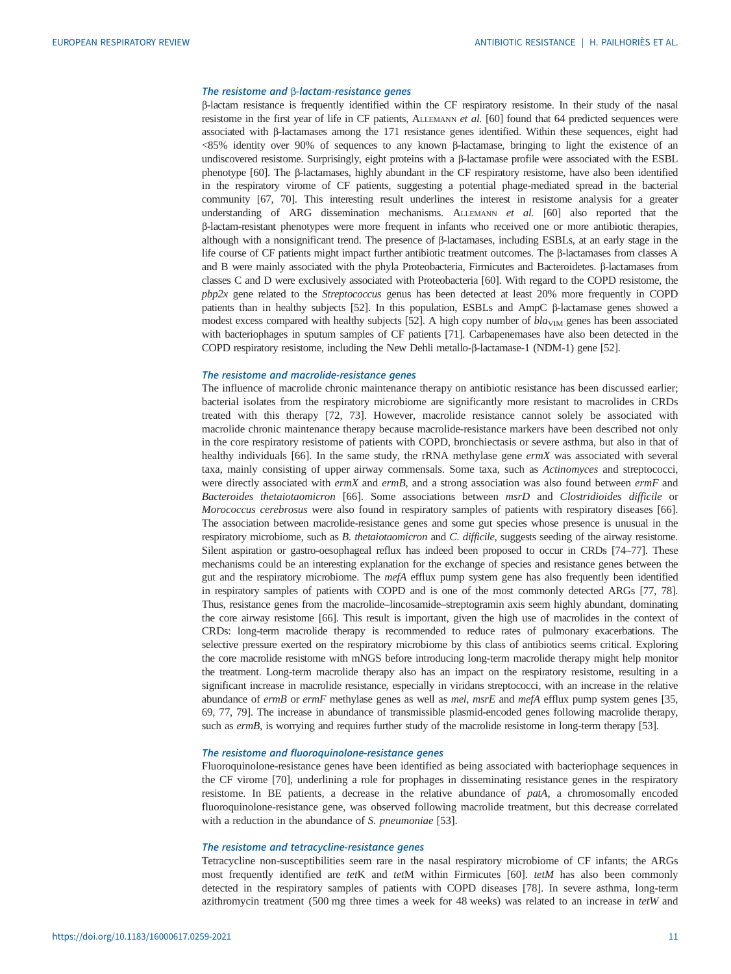#### The resistome and β-lactam-resistance genes

β-lactam resistance is frequently identified within the CF respiratory resistome. In their study of the nasal resistome in the first year of life in CF patients, ALLEMANN et al. [[60](#page-15-0)] found that 64 predicted sequences were associated with β-lactamases among the 171 resistance genes identified. Within these sequences, eight had <85% identity over 90% of sequences to any known β-lactamase, bringing to light the existence of an undiscovered resistome. Surprisingly, eight proteins with a β-lactamase profile were associated with the ESBL phenotype [[60](#page-15-0)]. The β-lactamases, highly abundant in the CF respiratory resistome, have also been identified in the respiratory virome of CF patients, suggesting a potential phage-mediated spread in the bacterial community [\[67, 70](#page-15-0)]. This interesting result underlines the interest in resistome analysis for a greater understanding of ARG dissemination mechanisms. ALLEMANN et al. [[60](#page-15-0)] also reported that the β-lactam-resistant phenotypes were more frequent in infants who received one or more antibiotic therapies, although with a nonsignificant trend. The presence of β-lactamases, including ESBLs, at an early stage in the life course of CF patients might impact further antibiotic treatment outcomes. The β-lactamases from classes A and B were mainly associated with the phyla Proteobacteria, Firmicutes and Bacteroidetes. β-lactamases from classes C and D were exclusively associated with Proteobacteria [\[60\]](#page-15-0). With regard to the COPD resistome, the pbp2x gene related to the Streptococcus genus has been detected at least 20% more frequently in COPD patients than in healthy subjects [\[52](#page-14-0)]. In this population, ESBLs and AmpC β-lactamase genes showed a modest excess compared with healthy subjects [\[52\]](#page-14-0). A high copy number of  $bla<sub>VIM</sub>$  genes has been associated with bacteriophages in sputum samples of CF patients [\[71](#page-15-0)]. Carbapenemases have also been detected in the COPD respiratory resistome, including the New Dehli metallo-β-lactamase-1 (NDM-1) gene [\[52\]](#page-14-0).

#### The resistome and macrolide-resistance genes

The influence of macrolide chronic maintenance therapy on antibiotic resistance has been discussed earlier; bacterial isolates from the respiratory microbiome are significantly more resistant to macrolides in CRDs treated with this therapy [\[72](#page-15-0), [73\]](#page-15-0). However, macrolide resistance cannot solely be associated with macrolide chronic maintenance therapy because macrolide-resistance markers have been described not only in the core respiratory resistome of patients with COPD, bronchiectasis or severe asthma, but also in that of healthy individuals [\[66](#page-15-0)]. In the same study, the rRNA methylase gene ermX was associated with several taxa, mainly consisting of upper airway commensals. Some taxa, such as Actinomyces and streptococci, were directly associated with  $ermX$  and  $ermB$ , and a strong association was also found between  $ermF$  and Bacteroides thetaiotaomicron [\[66](#page-15-0)]. Some associations between msrD and Clostridioides difficile or Morococcus cerebrosus were also found in respiratory samples of patients with respiratory diseases [[66\]](#page-15-0). The association between macrolide-resistance genes and some gut species whose presence is unusual in the respiratory microbiome, such as B. thetaiotaomicron and C. difficile, suggests seeding of the airway resistome. Silent aspiration or gastro-oesophageal reflux has indeed been proposed to occur in CRDs [\[74](#page-15-0)–[77](#page-15-0)]. These mechanisms could be an interesting explanation for the exchange of species and resistance genes between the gut and the respiratory microbiome. The  $mefA$  efflux pump system gene has also frequently been identified in respiratory samples of patients with COPD and is one of the most commonly detected ARGs [\[77, 78\]](#page-15-0). Thus, resistance genes from the macrolide–lincosamide–streptogramin axis seem highly abundant, dominating the core airway resistome [\[66](#page-15-0)]. This result is important, given the high use of macrolides in the context of CRDs: long-term macrolide therapy is recommended to reduce rates of pulmonary exacerbations. The selective pressure exerted on the respiratory microbiome by this class of antibiotics seems critical. Exploring the core macrolide resistome with mNGS before introducing long-term macrolide therapy might help monitor the treatment. Long-term macrolide therapy also has an impact on the respiratory resistome, resulting in a significant increase in macrolide resistance, especially in viridans streptococci, with an increase in the relative abundance of ermB or ermF methylase genes as well as mel, msrE and mefA efflux pump system genes [[35](#page-14-0), [69](#page-15-0), [77](#page-15-0), [79](#page-15-0)]. The increase in abundance of transmissible plasmid-encoded genes following macrolide therapy, such as ermB, is worrying and requires further study of the macrolide resistome in long-term therapy [\[53](#page-14-0)].

#### The resistome and fluoroquinolone-resistance genes

Fluoroquinolone-resistance genes have been identified as being associated with bacteriophage sequences in the CF virome [[70\]](#page-15-0), underlining a role for prophages in disseminating resistance genes in the respiratory resistome. In BE patients, a decrease in the relative abundance of patA, a chromosomally encoded fluoroquinolone-resistance gene, was observed following macrolide treatment, but this decrease correlated with a reduction in the abundance of S. pneumoniae [[53\]](#page-14-0).

#### The resistome and tetracycline-resistance genes

Tetracycline non-susceptibilities seem rare in the nasal respiratory microbiome of CF infants; the ARGs most frequently identified are tetK and tetM within Firmicutes [\[60](#page-15-0)]. tetM has also been commonly detected in the respiratory samples of patients with COPD diseases [[78\]](#page-15-0). In severe asthma, long-term azithromycin treatment (500 mg three times a week for 48 weeks) was related to an increase in  $tetW$  and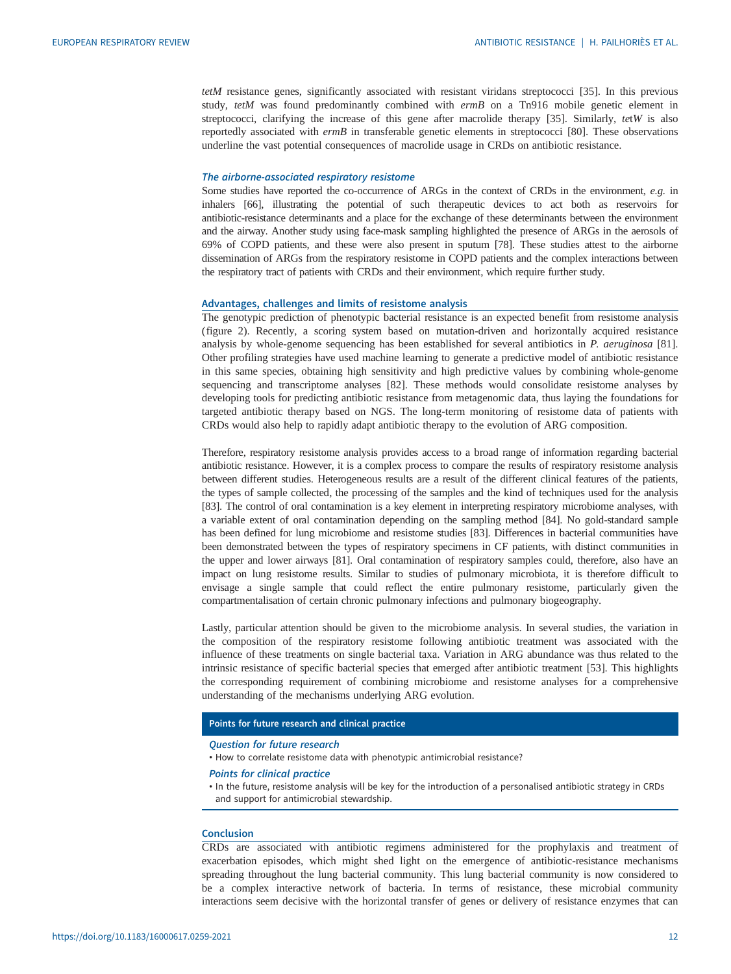tetM resistance genes, significantly associated with resistant viridans streptococci [\[35](#page-14-0)]. In this previous study, tetM was found predominantly combined with ermB on a Tn916 mobile genetic element in streptococci, clarifying the increase of this gene after macrolide therapy [\[35](#page-14-0)]. Similarly, tetW is also reportedly associated with ermB in transferable genetic elements in streptococci [\[80](#page-15-0)]. These observations underline the vast potential consequences of macrolide usage in CRDs on antibiotic resistance.

#### The airborne-associated respiratory resistome

Some studies have reported the co-occurrence of ARGs in the context of CRDs in the environment, e.g. in inhalers [\[66](#page-15-0)], illustrating the potential of such therapeutic devices to act both as reservoirs for antibiotic-resistance determinants and a place for the exchange of these determinants between the environment and the airway. Another study using face-mask sampling highlighted the presence of ARGs in the aerosols of 69% of COPD patients, and these were also present in sputum [\[78\]](#page-15-0). These studies attest to the airborne dissemination of ARGs from the respiratory resistome in COPD patients and the complex interactions between the respiratory tract of patients with CRDs and their environment, which require further study.

#### Advantages, challenges and limits of resistome analysis

The genotypic prediction of phenotypic bacterial resistance is an expected benefit from resistome analysis [\(figure 2](#page-12-0)). Recently, a scoring system based on mutation-driven and horizontally acquired resistance analysis by whole-genome sequencing has been established for several antibiotics in P. aeruginosa [[81\]](#page-15-0). Other profiling strategies have used machine learning to generate a predictive model of antibiotic resistance in this same species, obtaining high sensitivity and high predictive values by combining whole-genome sequencing and transcriptome analyses [\[82](#page-15-0)]. These methods would consolidate resistome analyses by developing tools for predicting antibiotic resistance from metagenomic data, thus laying the foundations for targeted antibiotic therapy based on NGS. The long-term monitoring of resistome data of patients with CRDs would also help to rapidly adapt antibiotic therapy to the evolution of ARG composition.

Therefore, respiratory resistome analysis provides access to a broad range of information regarding bacterial antibiotic resistance. However, it is a complex process to compare the results of respiratory resistome analysis between different studies. Heterogeneous results are a result of the different clinical features of the patients, the types of sample collected, the processing of the samples and the kind of techniques used for the analysis [\[83](#page-15-0)]. The control of oral contamination is a key element in interpreting respiratory microbiome analyses, with a variable extent of oral contamination depending on the sampling method [[84](#page-15-0)]. No gold-standard sample has been defined for lung microbiome and resistome studies [\[83\]](#page-15-0). Differences in bacterial communities have been demonstrated between the types of respiratory specimens in CF patients, with distinct communities in the upper and lower airways [[81\]](#page-15-0). Oral contamination of respiratory samples could, therefore, also have an impact on lung resistome results. Similar to studies of pulmonary microbiota, it is therefore difficult to envisage a single sample that could reflect the entire pulmonary resistome, particularly given the compartmentalisation of certain chronic pulmonary infections and pulmonary biogeography.

Lastly, particular attention should be given to the microbiome analysis. In several studies, the variation in the composition of the respiratory resistome following antibiotic treatment was associated with the influence of these treatments on single bacterial taxa. Variation in ARG abundance was thus related to the intrinsic resistance of specific bacterial species that emerged after antibiotic treatment [\[53](#page-14-0)]. This highlights the corresponding requirement of combining microbiome and resistome analyses for a comprehensive understanding of the mechanisms underlying ARG evolution.

#### Points for future research and clinical practice

#### Question for future research

• How to correlate resistome data with phenotypic antimicrobial resistance?

#### Points for clinical practice

• In the future, resistome analysis will be key for the introduction of a personalised antibiotic strategy in CRDs and support for antimicrobial stewardship.

#### Conclusion

CRDs are associated with antibiotic regimens administered for the prophylaxis and treatment of exacerbation episodes, which might shed light on the emergence of antibiotic-resistance mechanisms spreading throughout the lung bacterial community. This lung bacterial community is now considered to be a complex interactive network of bacteria. In terms of resistance, these microbial community interactions seem decisive with the horizontal transfer of genes or delivery of resistance enzymes that can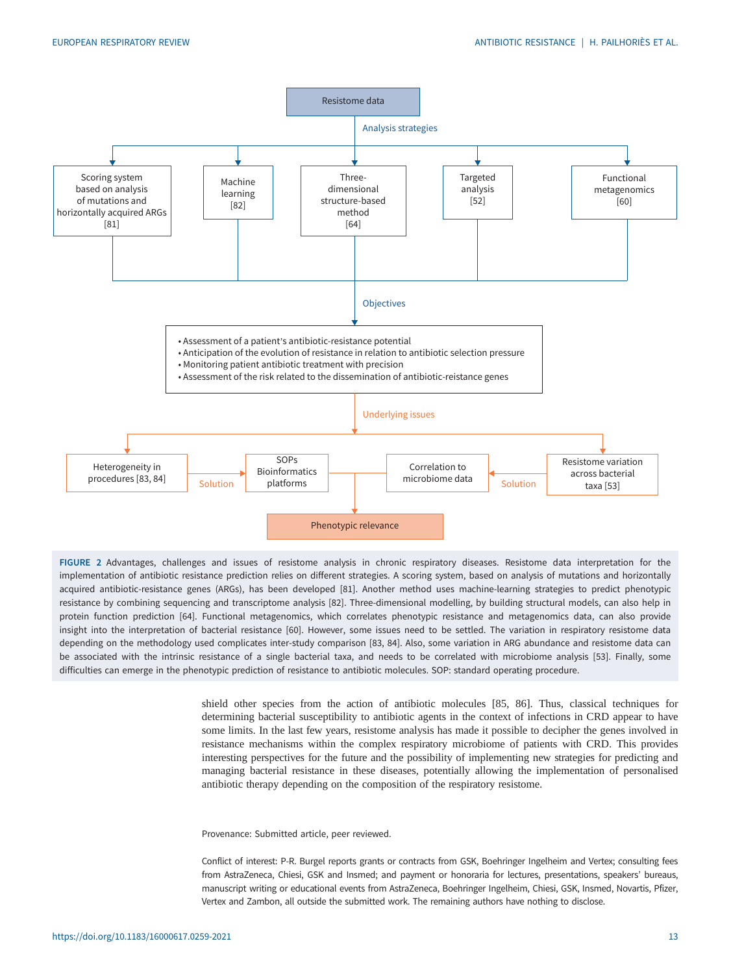<span id="page-12-0"></span>

FIGURE 2 Advantages, challenges and issues of resistome analysis in chronic respiratory diseases. Resistome data interpretation for the implementation of antibiotic resistance prediction relies on different strategies. A scoring system, based on analysis of mutations and horizontally acquired antibiotic-resistance genes (ARGs), has been developed [\[81](#page-15-0)]. Another method uses machine-learning strategies to predict phenotypic resistance by combining sequencing and transcriptome analysis [\[82](#page-15-0)]. Three-dimensional modelling, by building structural models, can also help in protein function prediction [[64](#page-15-0)]. Functional metagenomics, which correlates phenotypic resistance and metagenomics data, can also provide insight into the interpretation of bacterial resistance [\[60](#page-15-0)]. However, some issues need to be settled. The variation in respiratory resistome data depending on the methodology used complicates inter-study comparison [\[83](#page-15-0), [84\]](#page-15-0). Also, some variation in ARG abundance and resistome data can be associated with the intrinsic resistance of a single bacterial taxa, and needs to be correlated with microbiome analysis [[53\]](#page-14-0). Finally, some difficulties can emerge in the phenotypic prediction of resistance to antibiotic molecules. SOP: standard operating procedure.

> shield other species from the action of antibiotic molecules [[85, 86](#page-15-0)]. Thus, classical techniques for determining bacterial susceptibility to antibiotic agents in the context of infections in CRD appear to have some limits. In the last few years, resistome analysis has made it possible to decipher the genes involved in resistance mechanisms within the complex respiratory microbiome of patients with CRD. This provides interesting perspectives for the future and the possibility of implementing new strategies for predicting and managing bacterial resistance in these diseases, potentially allowing the implementation of personalised antibiotic therapy depending on the composition of the respiratory resistome.

Provenance: Submitted article, peer reviewed.

Conflict of interest: P-R. Burgel reports grants or contracts from GSK, Boehringer Ingelheim and Vertex; consulting fees from AstraZeneca, Chiesi, GSK and Insmed; and payment or honoraria for lectures, presentations, speakers' bureaus, manuscript writing or educational events from AstraZeneca, Boehringer Ingelheim, Chiesi, GSK, Insmed, Novartis, Pfizer, Vertex and Zambon, all outside the submitted work. The remaining authors have nothing to disclose.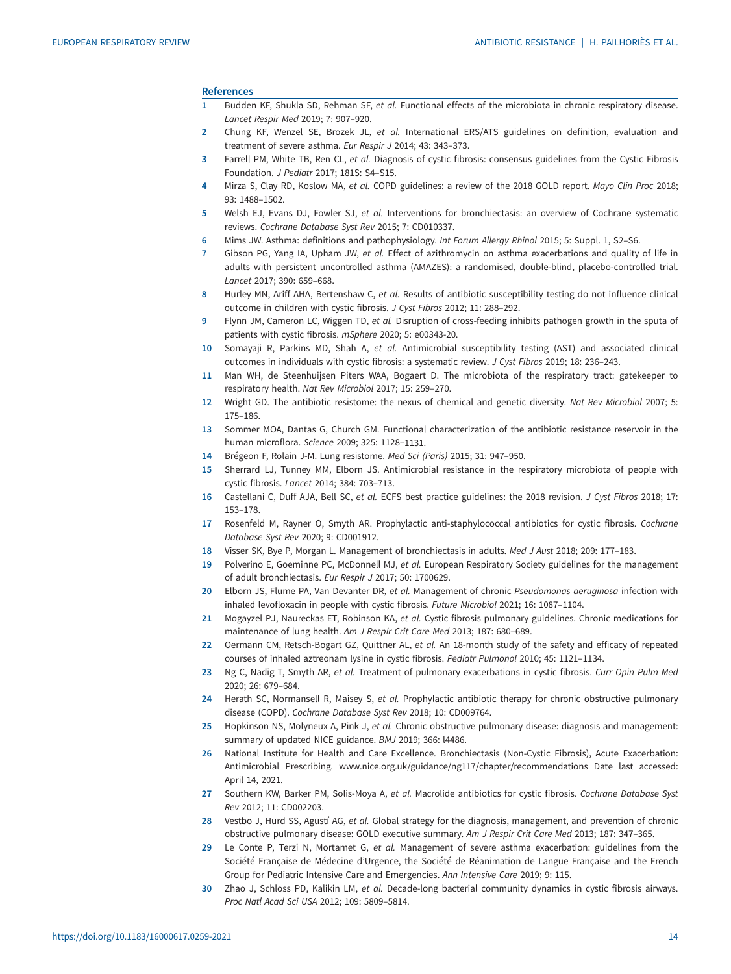#### <span id="page-13-0"></span>References

- 1 Budden KF, Shukla SD, Rehman SF, et al. Functional effects of the microbiota in chronic respiratory disease. Lancet Respir Med 2019; 7: 907–920.
- 2 Chung KF, Wenzel SE, Brozek JL, et al. International ERS/ATS guidelines on definition, evaluation and treatment of severe asthma. Eur Respir J 2014; 43: 343–373.
- 3 Farrell PM, White TB, Ren CL, et al. Diagnosis of cystic fibrosis: consensus guidelines from the Cystic Fibrosis Foundation. J Pediatr 2017; 181S: S4–S15.
- 4 Mirza S, Clay RD, Koslow MA, et al. COPD guidelines: a review of the 2018 GOLD report. Mayo Clin Proc 2018; 93: 1488–1502.
- 5 Welsh EJ, Evans DJ, Fowler SJ, et al. Interventions for bronchiectasis: an overview of Cochrane systematic reviews. Cochrane Database Syst Rev 2015; 7: CD010337.
- 6 Mims JW. Asthma: definitions and pathophysiology. Int Forum Allergy Rhinol 2015; 5: Suppl. 1, S2–S6.
- 7 Gibson PG, Yang IA, Upham JW, et al. Effect of azithromycin on asthma exacerbations and quality of life in adults with persistent uncontrolled asthma (AMAZES): a randomised, double-blind, placebo-controlled trial. Lancet 2017; 390: 659–668.
- 8 Hurley MN, Ariff AHA, Bertenshaw C, et al. Results of antibiotic susceptibility testing do not influence clinical outcome in children with cystic fibrosis. J Cyst Fibros 2012; 11: 288–292.
- 9 Flynn JM, Cameron LC, Wiggen TD, et al. Disruption of cross-feeding inhibits pathogen growth in the sputa of patients with cystic fibrosis. mSphere 2020; 5: e00343-20.
- 10 Somayaji R, Parkins MD, Shah A, et al. Antimicrobial susceptibility testing (AST) and associated clinical outcomes in individuals with cystic fibrosis: a systematic review. J Cyst Fibros 2019; 18: 236–243.
- 11 Man WH, de Steenhuijsen Piters WAA, Bogaert D. The microbiota of the respiratory tract: gatekeeper to respiratory health. Nat Rev Microbiol 2017; 15: 259–270.
- 12 Wright GD. The antibiotic resistome: the nexus of chemical and genetic diversity. Nat Rev Microbiol 2007; 5: 175–186.
- 13 Sommer MOA, Dantas G, Church GM. Functional characterization of the antibiotic resistance reservoir in the human microflora. Science 2009; 325: 1128–1131.
- 14 Brégeon F, Rolain J-M. Lung resistome. Med Sci (Paris) 2015; 31: 947–950.
- 15 Sherrard LJ, Tunney MM, Elborn JS. Antimicrobial resistance in the respiratory microbiota of people with cystic fibrosis. Lancet 2014; 384: 703–713.
- 16 Castellani C, Duff AJA, Bell SC, et al. ECFS best practice guidelines: the 2018 revision. J Cyst Fibros 2018; 17: 153–178.
- 17 Rosenfeld M, Rayner O, Smyth AR. Prophylactic anti-staphylococcal antibiotics for cystic fibrosis. Cochrane Database Syst Rev 2020; 9: CD001912.
- 18 Visser SK, Bye P, Morgan L. Management of bronchiectasis in adults. Med J Aust 2018; 209: 177–183.
- 19 Polverino E, Goeminne PC, McDonnell MJ, et al. European Respiratory Society guidelines for the management of adult bronchiectasis. Eur Respir J 2017; 50: 1700629.
- 20 Elborn JS, Flume PA, Van Devanter DR, et al. Management of chronic Pseudomonas aeruginosa infection with inhaled levofloxacin in people with cystic fibrosis. Future Microbiol 2021; 16: 1087–1104.
- 21 Mogayzel PJ, Naureckas ET, Robinson KA, et al. Cystic fibrosis pulmonary guidelines. Chronic medications for maintenance of lung health. Am J Respir Crit Care Med 2013; 187: 680–689.
- 22 Oermann CM, Retsch-Bogart GZ, Quittner AL, et al. An 18-month study of the safety and efficacy of repeated courses of inhaled aztreonam lysine in cystic fibrosis. Pediatr Pulmonol 2010; 45: 1121–1134.
- 23 Ng C, Nadig T, Smyth AR, et al. Treatment of pulmonary exacerbations in cystic fibrosis. Curr Opin Pulm Med 2020; 26: 679–684.
- 24 Herath SC, Normansell R, Maisey S, et al. Prophylactic antibiotic therapy for chronic obstructive pulmonary disease (COPD). Cochrane Database Syst Rev 2018; 10: CD009764.
- 25 Hopkinson NS, Molyneux A, Pink J, et al. Chronic obstructive pulmonary disease: diagnosis and management: summary of updated NICE guidance. BMJ 2019; 366: l4486.
- 26 National Institute for Health and Care Excellence. Bronchiectasis (Non-Cystic Fibrosis), Acute Exacerbation: Antimicrobial Prescribing. [www.nice.org.uk/guidance/ng117/chapter/recommendations](http://www.nice.org.uk/guidance/ng117/chapter/recommendations) Date last accessed: April 14, 2021.
- 27 Southern KW, Barker PM, Solis-Moya A, et al. Macrolide antibiotics for cystic fibrosis. Cochrane Database Syst Rev 2012; 11: CD002203.
- 28 Vestbo J, Hurd SS, Agustí AG, et al. Global strategy for the diagnosis, management, and prevention of chronic obstructive pulmonary disease: GOLD executive summary. Am J Respir Crit Care Med 2013; 187: 347–365.
- 29 Le Conte P, Terzi N, Mortamet G, et al. Management of severe asthma exacerbation: guidelines from the Société Française de Médecine d'Urgence, the Société de Réanimation de Langue Française and the French Group for Pediatric Intensive Care and Emergencies. Ann Intensive Care 2019; 9: 115.
- 30 Zhao J, Schloss PD, Kalikin LM, et al. Decade-long bacterial community dynamics in cystic fibrosis airways. Proc Natl Acad Sci USA 2012; 109: 5809–5814.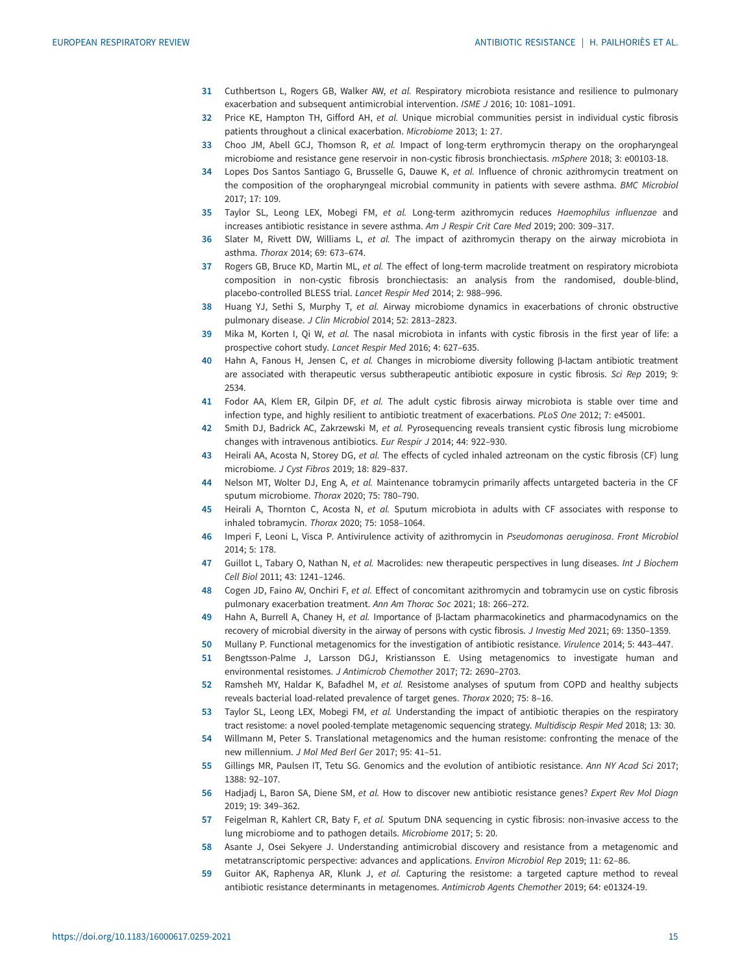- <span id="page-14-0"></span>31 Cuthbertson L, Rogers GB, Walker AW, et al. Respiratory microbiota resistance and resilience to pulmonary exacerbation and subsequent antimicrobial intervention. ISME J 2016; 10: 1081–1091.
- 32 Price KE, Hampton TH, Gifford AH, et al. Unique microbial communities persist in individual cystic fibrosis patients throughout a clinical exacerbation. Microbiome 2013; 1: 27.
- 33 Choo JM, Abell GCJ, Thomson R, et al. Impact of long-term erythromycin therapy on the oropharyngeal microbiome and resistance gene reservoir in non-cystic fibrosis bronchiectasis. mSphere 2018; 3: e00103-18.
- 34 Lopes Dos Santos Santiago G, Brusselle G, Dauwe K, et al. Influence of chronic azithromycin treatment on the composition of the oropharyngeal microbial community in patients with severe asthma. BMC Microbiol 2017; 17: 109.
- 35 Taylor SL, Leong LEX, Mobegi FM, et al. Long-term azithromycin reduces Haemophilus influenzae and increases antibiotic resistance in severe asthma. Am J Respir Crit Care Med 2019; 200: 309–317.
- 36 Slater M, Rivett DW, Williams L, et al. The impact of azithromycin therapy on the airway microbiota in asthma. Thorax 2014; 69: 673–674.
- 37 Rogers GB, Bruce KD, Martin ML, et al. The effect of long-term macrolide treatment on respiratory microbiota composition in non-cystic fibrosis bronchiectasis: an analysis from the randomised, double-blind, placebo-controlled BLESS trial. Lancet Respir Med 2014; 2: 988–996.
- 38 Huang YJ, Sethi S, Murphy T, et al. Airway microbiome dynamics in exacerbations of chronic obstructive pulmonary disease. J Clin Microbiol 2014; 52: 2813–2823.
- 39 Mika M, Korten I, Qi W, et al. The nasal microbiota in infants with cystic fibrosis in the first year of life: a prospective cohort study. Lancet Respir Med 2016; 4: 627–635.
- 40 Hahn A, Fanous H, Jensen C, et al. Changes in microbiome diversity following β-lactam antibiotic treatment are associated with therapeutic versus subtherapeutic antibiotic exposure in cystic fibrosis. Sci Rep 2019; 9: 2534.
- 41 Fodor AA, Klem ER, Gilpin DF, et al. The adult cystic fibrosis airway microbiota is stable over time and infection type, and highly resilient to antibiotic treatment of exacerbations. PLoS One 2012; 7: e45001.
- 42 Smith DJ, Badrick AC, Zakrzewski M, et al. Pyrosequencing reveals transient cystic fibrosis lung microbiome changes with intravenous antibiotics. Eur Respir J 2014; 44: 922–930.
- 43 Heirali AA, Acosta N, Storey DG, et al. The effects of cycled inhaled aztreonam on the cystic fibrosis (CF) lung microbiome. J Cyst Fibros 2019; 18: 829–837.
- 44 Nelson MT, Wolter DJ, Eng A, et al. Maintenance tobramycin primarily affects untargeted bacteria in the CF sputum microbiome. Thorax 2020; 75: 780–790.
- 45 Heirali A, Thornton C, Acosta N, et al. Sputum microbiota in adults with CF associates with response to inhaled tobramycin. Thorax 2020; 75: 1058–1064.
- 46 Imperi F, Leoni L, Visca P. Antivirulence activity of azithromycin in Pseudomonas aeruginosa. Front Microbiol 2014; 5: 178.
- 47 Guillot L, Tabary O, Nathan N, et al. Macrolides: new therapeutic perspectives in lung diseases. Int J Biochem Cell Biol 2011; 43: 1241–1246.
- 48 Cogen JD, Faino AV, Onchiri F, et al. Effect of concomitant azithromycin and tobramycin use on cystic fibrosis pulmonary exacerbation treatment. Ann Am Thorac Soc 2021; 18: 266–272.
- 49 Hahn A, Burrell A, Chaney H, et al. Importance of β-lactam pharmacokinetics and pharmacodynamics on the recovery of microbial diversity in the airway of persons with cystic fibrosis. J Investig Med 2021; 69: 1350–1359.
- 50 Mullany P. Functional metagenomics for the investigation of antibiotic resistance. Virulence 2014; 5: 443–447.
- 51 Bengtsson-Palme J, Larsson DGJ, Kristiansson E. Using metagenomics to investigate human and environmental resistomes. J Antimicrob Chemother 2017; 72: 2690–2703.
- 52 Ramsheh MY, Haldar K, Bafadhel M, et al. Resistome analyses of sputum from COPD and healthy subjects reveals bacterial load-related prevalence of target genes. Thorax 2020; 75: 8–16.
- 53 Taylor SL, Leong LEX, Mobegi FM, et al. Understanding the impact of antibiotic therapies on the respiratory tract resistome: a novel pooled-template metagenomic sequencing strategy. Multidiscip Respir Med 2018; 13: 30.
- 54 Willmann M, Peter S. Translational metagenomics and the human resistome: confronting the menace of the new millennium. J Mol Med Berl Ger 2017; 95: 41–51.
- 55 Gillings MR, Paulsen IT, Tetu SG. Genomics and the evolution of antibiotic resistance. Ann NY Acad Sci 2017; 1388: 92–107.
- 56 Hadjadj L, Baron SA, Diene SM, et al. How to discover new antibiotic resistance genes? Expert Rev Mol Diagn 2019; 19: 349–362.
- 57 Feigelman R, Kahlert CR, Baty F, et al. Sputum DNA sequencing in cystic fibrosis: non-invasive access to the lung microbiome and to pathogen details. Microbiome 2017; 5: 20.
- 58 Asante J, Osei Sekyere J. Understanding antimicrobial discovery and resistance from a metagenomic and metatranscriptomic perspective: advances and applications. Environ Microbiol Rep 2019; 11: 62–86.
- 59 Guitor AK, Raphenya AR, Klunk J, et al. Capturing the resistome: a targeted capture method to reveal antibiotic resistance determinants in metagenomes. Antimicrob Agents Chemother 2019; 64: e01324-19.